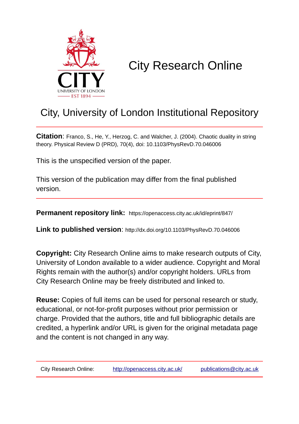

# City Research Online

# City, University of London Institutional Repository

**Citation**: Franco, S., He, Y., Herzog, C. and Walcher, J. (2004). Chaotic duality in string theory. Physical Review D (PRD), 70(4), doi: 10.1103/PhysRevD.70.046006

This is the unspecified version of the paper.

This version of the publication may differ from the final published version.

**Permanent repository link:** https://openaccess.city.ac.uk/id/eprint/847/

**Link to published version**: http://dx.doi.org/10.1103/PhysRevD.70.046006

**Copyright:** City Research Online aims to make research outputs of City, University of London available to a wider audience. Copyright and Moral Rights remain with the author(s) and/or copyright holders. URLs from City Research Online may be freely distributed and linked to.

**Reuse:** Copies of full items can be used for personal research or study, educational, or not-for-profit purposes without prior permission or charge. Provided that the authors, title and full bibliographic details are credited, a hyperlink and/or URL is given for the original metadata page and the content is not changed in any way.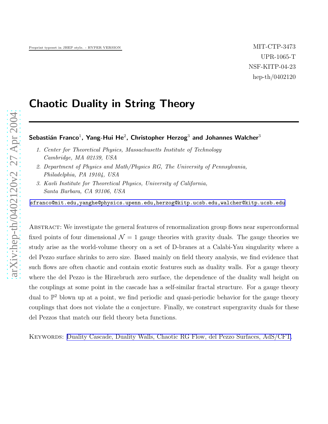# Chaotic Duality in String Theory

# Sebastián Franco $^1$ , Yang-Hui He $^2$ , Christopher Herzog $^3$  and Johannes Walcher $^3$

- 1. Center for Theoretical Physics, Massachusetts Institute of Technology Cambridge, MA 02139, USA
- 2. Department of Physics and Math/Physics RG, The University of Pennsylvania, Philadelphia, PA 19104, USA
- 3. Kavli Institute for Theoretical Physics, University of California, Santa Barbara, CA 93106, USA

[sfranco@mit.edu,yanghe@physics.upenn.edu,herzog@kitp.ucsb.edu,walcher@kitp.ucsb.edu](mailto:sfranco@mit.edu,yanghe@physics.upenn.edu,herzog@kitp.ucsb.edu,walcher@kitp.ucsb.edu)

Abstract: We investigate the general features of renormalization group flows near superconformal fixed points of four dimensional  $\mathcal{N} = 1$  gauge theories with gravity duals. The gauge theories we study arise as the world-volume theory on a set of D-branes at a Calabi-Yau singularity where a del Pezzo surface shrinks to zero size. Based mainly on field theory analysis, we find evidence that such flows are often chaotic and contain exotic features such as duality walls. For a gauge theory where the del Pezzo is the Hirzebruch zero surface, the dependence of the duality wall height on the couplings at some point in the cascade has a self-similar fractal structure. For a gauge theory dual to  $\mathbb{P}^2$  blown up at a point, we find periodic and quasi-periodic behavior for the gauge theory couplings that does not violate the a conjecture. Finally, we construct supergravity duals for these del Pezzos that match our field theory beta functions.

KEYWORDS: [Duality Cascade, Duality Walls, Chaotic RG Flow, del Pezzo Surfaces, AdS/CFT.](http://jhep.sissa.it/stdsearch?keywords=Duality_Cascade+Duality_Walls+Chaotic_RG_Flow+del_Pezzo_Surfaces+AdS/CFT)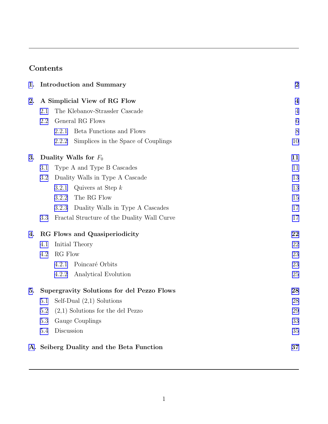# Contents

| 1. |                                            | <b>Introduction and Summary</b>              | $\boldsymbol{2}$        |
|----|--------------------------------------------|----------------------------------------------|-------------------------|
| 2. | A Simplicial View of RG Flow               |                                              | $\overline{\mathbf{4}}$ |
|    | The Klebanov-Strassler Cascade<br>2.1      |                                              | $\overline{4}$          |
|    | 2.2                                        | General RG Flows                             | 6                       |
|    |                                            | Beta Functions and Flows<br>2.2.1            | 8                       |
|    |                                            | Simplices in the Space of Couplings<br>2.2.2 | 10                      |
| 3. | Duality Walls for $F_0$                    |                                              | 11                      |
|    | 3.1                                        | Type A and Type B Cascades                   | 11                      |
|    | 3.2                                        | Duality Walls in Type A Cascade              | 13                      |
|    |                                            | Quivers at Step $k$<br>3.2.1                 | 13                      |
|    |                                            | The RG Flow<br>3.2.2                         | 15                      |
|    |                                            | Duality Walls in Type A Cascades<br>3.2.3    | 17                      |
|    | 3.3                                        | Fractal Structure of the Duality Wall Curve  | 17                      |
| 4. | RG Flows and Quasiperiodicity              |                                              | 22                      |
|    | 4.1                                        | Initial Theory                               | 22                      |
|    | 4.2                                        | <b>RG</b> Flow                               | 23                      |
|    |                                            | 4.2.1<br>Poincaré Orbits                     | 23                      |
|    |                                            | Analytical Evolution<br>4.2.2                | 25                      |
| 5. | Supergravity Solutions for del Pezzo Flows |                                              | 28                      |
|    | $5.1\,$                                    | Self-Dual $(2,1)$ Solutions                  | 28                      |
|    | 5.2                                        | $(2,1)$ Solutions for the del Pezzo          | 29                      |
|    | 5.3                                        | Gauge Couplings                              | 33                      |
|    | 5.4                                        | Discussion                                   | 35                      |
|    |                                            | A. Seiberg Duality and the Beta Function     | 37                      |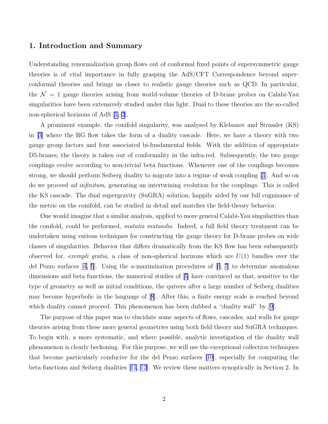### <span id="page-3-0"></span>1. Introduction and Summary

Understanding renormalization group flows out of conformal fixed points of supersymmetric gauge theories is of vital importance in fully grasping the AdS/CFT Correspondence beyond superconformal theories and brings us closer to realistic gauge theories such as QCD. In particular, the  $\mathcal{N} = 1$  gauge theories arising from world-volume theories of D-brane probes on Calabi-Yau singularities have been extensively studied under this light. Dual to these theories are the so-called non-spherical horizons of AdS [\[1, 2\]](#page-40-0).

A prominent example, the conifold singularity, was analysed by Klebanov and Strassler (KS) in[[3\]](#page-40-0) where the RG flow takes the form of a duality cascade. Here, we have a theory with two gauge group factors and four associated bi-fundamental fields. With the addition of appropriate D5-branes, the theory is taken out of conformality in the infra-red. Subsequently, the two gauge couplings evolve according to non-trivial beta functions. Whenever one of the couplings becomes strong, we should perform Seiberg duality to migrate into a regime of weak coupling[[3\]](#page-40-0). And so on do we proceed ad infinitum, generating an intertwining evolution for the couplings. This is called the KS cascade. The dual supergravity (SuGRA) solution, happily aided by our full cognizance of the metric on the conifold, can be studied in detail and matches the field-theory behavior.

One would imagine that a similar analysis, applied to more general Calabi-Yau singularities than the conifold, could be performed, mutatis mutandis. Indeed, a full field theory treatment can be undertaken using various techniques for constructing the gauge theory for D-brane probes on wide classes of singularities. Behavior that differs dramatically from the KS flow has been subsequently observed for, exempli gratia, a class of non-spherical horizons which are  $U(1)$  bundles over the delPezzo surfaces [[4, 5](#page-40-0)]. Using the a-maximization procedures of [[6](#page-40-0), [7](#page-41-0)] to determine anomalous dimensions and beta functions, the numerical studies of[[5](#page-40-0)] have convinced us that, sensitive to the type of geometry as well as initial conditions, the quivers after a large number of Seiberg dualities may become hyperbolic in the language of[[8](#page-41-0)]. After this, a finite energy scale is reached beyond whichduality cannot proceed. This phenomenon has been dubbed a "duality wall" by [[9\]](#page-41-0).

The purpose of this paper was to elucidate some aspects of flows, cascades, and walls for gauge theories arising from these more general geometries using both field theory and SuGRA techniques. To begin with, a more systematic, and where possible, analytic investigation of the duality wall phenomenon is clearly beckoning. For this purpose, we will use the exceptional collection techniques that become particularly conducive for the del Pezzo surfaces [\[10\]](#page-41-0), especially for computing the beta functions and Seiberg dualities[[11](#page-41-0), [12\]](#page-41-0). We review these matters synoptically in Section 2. In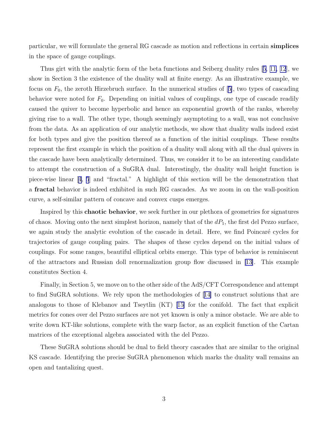particular, we will formulate the general RG cascade as motion and reflections in certain simplices in the space of gauge couplings.

Thus girt with the analytic form of the beta functions and Seiberg duality rules[[5,](#page-40-0) [11, 12](#page-41-0)], we show in Section 3 the existence of the duality wall at finite energy. As an illustrative example, we focus on  $F_0$ , the zeroth Hirzebruch surface. In the numerical studies of [[5\]](#page-40-0), two types of cascading behavior were noted for  $F_0$ . Depending on initial values of couplings, one type of cascade readily caused the quiver to become hyperbolic and hence an exponential growth of the ranks, whereby giving rise to a wall. The other type, though seemingly asymptoting to a wall, was not conclusive from the data. As an application of our analytic methods, we show that duality walls indeed exist for both types and give the position thereof as a function of the initial couplings. These results represent the first example in which the position of a duality wall along with all the dual quivers in the cascade have been analytically determined. Thus, we consider it to be an interesting candidate to attempt the construction of a SuGRA dual. Interestingly, the duality wall height function is piece-wise linear[[4](#page-40-0), [5](#page-40-0)] and "fractal." A highlight of this section will be the demonstration that a fractal behavior is indeed exhibited in such RG cascades. As we zoom in on the wall-position curve, a self-similar pattern of concave and convex cusps emerges.

Inspired by this **chaotic behavior**, we seek further in our plethora of geometries for signatures of chaos. Moving onto the next simplest horizon, namely that of the  $dP_1$ , the first del Pezzo surface, we again study the analytic evolution of the cascade in detail. Here, we find Poincaré cycles for trajectories of gauge coupling pairs. The shapes of these cycles depend on the initial values of couplings. For some ranges, beautiful elliptical orbits emerge. This type of behavior is reminiscent of the attractors and Russian doll renormalization group flow discussed in [\[13\]](#page-41-0). This example constitutes Section 4.

Finally, in Section 5, we move on to the other side of the AdS/CFT Correspondence and attempt to find SuGRA solutions. We rely upon the methodologies of[[14\]](#page-41-0) to construct solutions that are analogous to those of Klebanov and Tseytlin  $(KT)$  [\[15\]](#page-41-0) for the conifold. The fact that explicit metrics for cones over del Pezzo surfaces are not yet known is only a minor obstacle. We are able to write down KT-like solutions, complete with the warp factor, as an explicit function of the Cartan matrices of the exceptional algebra associated with the del Pezzo.

These SuGRA solutions should be dual to field theory cascades that are similar to the original KS cascade. Identifying the precise SuGRA phenomenon which marks the duality wall remains an open and tantalizing quest.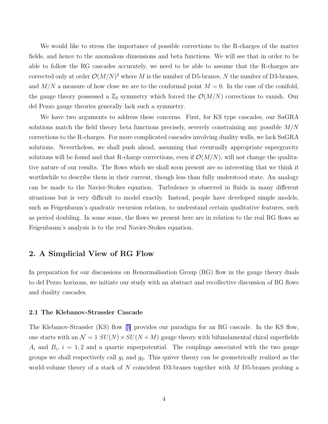<span id="page-5-0"></span>We would like to stress the importance of possible corrections to the R-charges of the matter fields, and hence to the anomalous dimensions and beta functions. We will see that in order to be able to follow the RG cascades accurately, we need to be able to assume that the R-charges are corrected only at order  $\mathcal{O}(M/N)^2$  where M is the number of D5-branes, N the number of D3-branes, and  $M/N$  a measure of how close we are to the conformal point  $M = 0$ . In the case of the conifold, the gauge theory possessed a  $\mathbb{Z}_2$  symmetry which forced the  $\mathcal{O}(M/N)$  corrections to vanish. Our del Pezzo gauge theories generally lack such a symmetry.

We have two arguments to address these concerns. First, for KS type cascades, our SuGRA solutions match the field theory beta functions precisely, severely constraining any possible  $M/N$ corrections to the R-charges. For more complicated cascades involving duality walls, we lack SuGRA solutions. Nevertheless, we shall push ahead, assuming that eventually appropriate supergravity solutions will be found and that R-charge corrections, even if  $\mathcal{O}(M/N)$ , will not change the qualitative nature of our results. The flows which we shall soon present are so interesting that we think it worthwhile to describe them in their current, though less than fully understood state. An analogy can be made to the Navier-Stokes equation. Turbulence is observed in fluids in many different situations but is very difficult to model exactly. Instead, people have developed simple models, such as Feigenbaum's quadratic recursion relation, to understand certain qualitative features, such as period doubling. In some sense, the flows we present here are in relation to the real RG flows as Feigenbaum's analysis is to the real Navier-Stokes equation.

# 2. A Simplicial View of RG Flow

In preparation for our discussions on Renormalisation Group (RG) flow in the gauge theory duals to del Pezzo horizons, we initiate our study with an abstract and recollective discussion of RG flows and duality cascades.

#### 2.1 The Klebanov-Strassler Cascade

The Klebanov-Strassler (KS) flow[[3\]](#page-40-0) provides our paradigm for an RG cascade. In the KS flow, one starts with an  $\mathcal{N} = 1$   $SU(N) \times SU(N + M)$  gauge theory with bifundamental chiral superfields  $A_i$  and  $B_i$ ,  $i = 1, 2$  and a quartic superpotential. The couplings associated with the two gauge groups we shall respectively call  $g_1$  and  $g_2$ . This quiver theory can be geometrically realized as the world-volume theory of a stack of N coincident D3-branes together with M D5-branes probing a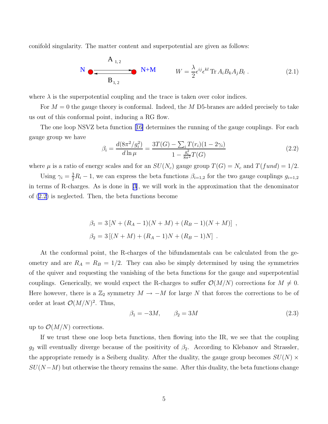<span id="page-6-0"></span>conifold singularity. The matter content and superpotential are given as follows:

$$
\mathbf{A}_{1,2} \qquad \qquad \mathbf{N} \leftarrow \mathbf{N} \qquad \qquad W = \frac{\lambda}{2} \epsilon^{ij} \epsilon^{kl} \operatorname{Tr} A_i B_k A_j B_l \ . \tag{2.1}
$$

where  $\lambda$  is the superpotential coupling and the trace is taken over color indices.

For  $M = 0$  the gauge theory is conformal. Indeed, the M D5-branes are added precisely to take us out of this conformal point, inducing a RG flow.

The one loop NSVZ beta function [\[16\]](#page-41-0) determines the running of the gauge couplings. For each gauge group we have

$$
\beta_i = \frac{d(8\pi^2/g_i^2)}{d\ln\mu} = \frac{3T(G) - \sum_i T(r_i)(1 - 2\gamma_i)}{1 - \frac{g_i^2}{8\pi^2}T(G)}
$$
\n(2.2)

where  $\mu$  is a ratio of energy scales and for an  $SU(N_c)$  gauge group  $T(G) = N_c$  and  $T(fund) = 1/2$ .

Using  $\gamma_i = \frac{3}{2}R_i - 1$ , we can express the beta functions  $\beta_{i=1,2}$  for the two gauge couplings  $g_{i=1,2}$ in terms of R-charges. As is done in [\[3](#page-40-0)], we will work in the approximation that the denominator of (2.2) is neglected. Then, the beta functions become

$$
\beta_1 = 3 [N + (R_A - 1)(N + M) + (R_B - 1)(N + M)],
$$
  
\n
$$
\beta_2 = 3 [(N + M) + (R_A - 1)N + (R_B - 1)N].
$$

At the conformal point, the R-charges of the bifundamentals can be calculated from the geometry and are  $R_A = R_B = 1/2$ . They can also be simply determined by using the symmetries of the quiver and requesting the vanishing of the beta functions for the gauge and superpotential couplings. Generically, we would expect the R-charges to suffer  $\mathcal{O}(M/N)$  corrections for  $M \neq 0$ . Here however, there is a  $\mathbb{Z}_2$  symmetry  $M \to -M$  for large N that forces the corrections to be of order at least  $\mathcal{O}(M/N)^2$ . Thus,

$$
\beta_1 = -3M, \qquad \beta_2 = 3M \tag{2.3}
$$

up to  $\mathcal{O}(M/N)$  corrections.

If we trust these one loop beta functions, then flowing into the IR, we see that the coupling  $g_2$  will eventually diverge because of the positivity of  $\beta_2$ . According to Klebanov and Strassler, the appropriate remedy is a Seiberg duality. After the duality, the gauge group becomes  $SU(N) \times$  $SU(N-M)$  but otherwise the theory remains the same. After this duality, the beta functions change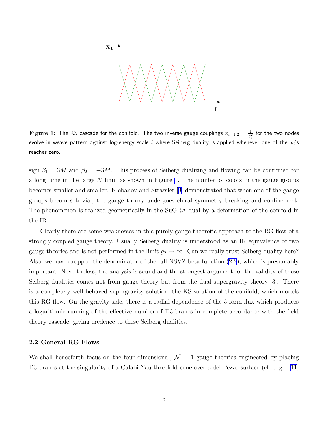<span id="page-7-0"></span>

**Figure 1:** The KS cascade for the conifold. The two inverse gauge couplings  $x_{i=1,2}=\frac{1}{g_i^2}$  for the two nodes evolve in weave pattern against log-energy scale  $t$  where Seiberg duality is applied whenever one of the  $x_i's\,$ reaches zero.

sign  $\beta_1 = 3M$  and  $\beta_2 = -3M$ . This process of Seiberg dualizing and flowing can be continued for a long time in the large N limit as shown in Figure 1. The number of colors in the gauge groups becomes smaller and smaller. Klebanov and Strassler[[3\]](#page-40-0) demonstrated that when one of the gauge groups becomes trivial, the gauge theory undergoes chiral symmetry breaking and confinement. The phenomenon is realized geometrically in the SuGRA dual by a deformation of the conifold in the IR.

Clearly there are some weaknesses in this purely gauge theoretic approach to the RG flow of a strongly coupled gauge theory. Usually Seiberg duality is understood as an IR equivalence of two gauge theories and is not performed in the limit  $g_2 \to \infty$ . Can we really trust Seiberg duality here? Also, we have dropped the denominator of the full NSVZ beta function [\(2.2](#page-6-0)), which is presumably important. Nevertheless, the analysis is sound and the strongest argument for the validity of these Seiberg dualities comes not from gauge theory but from the dual supergravity theory [\[3](#page-40-0)]. There is a completely well-behaved supergravity solution, the KS solution of the conifold, which models this RG flow. On the gravity side, there is a radial dependence of the 5-form flux which produces a logarithmic running of the effective number of D3-branes in complete accordance with the field theory cascade, giving credence to these Seiberg dualities.

#### 2.2 General RG Flows

We shall henceforth focus on the four dimensional,  $\mathcal{N} = 1$  gauge theories engineered by placing D3-branes at the singularity of a Calabi-Yau threefold cone over a del Pezzo surface (cf. e. g. [\[11,](#page-41-0)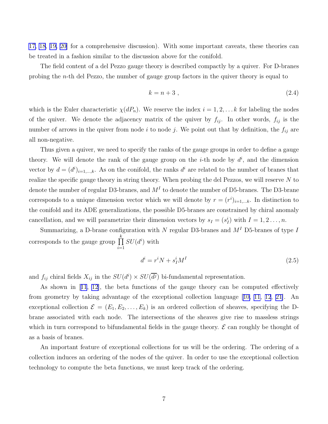[17, 18](#page-41-0), [19, 20](#page-42-0)] for a comprehensive discussion). With some important caveats, these theories can be treated in a fashion similar to the discussion above for the conifold.

The field content of a del Pezzo gauge theory is described compactly by a quiver. For D-branes probing the n-th del Pezzo, the number of gauge group factors in the quiver theory is equal to

$$
k = n + 3 \tag{2.4}
$$

which is the Euler characteristic  $\chi(dP_n)$ . We reserve the index  $i = 1, 2, \ldots k$  for labeling the nodes of the quiver. We denote the adjacency matrix of the quiver by  $f_{ij}$ . In other words,  $f_{ij}$  is the number of arrows in the quiver from node i to node j. We point out that by definition, the  $f_{ij}$  are all non-negative.

Thus given a quiver, we need to specify the ranks of the gauge groups in order to define a gauge theory. We will denote the rank of the gauge group on the *i*-th node by  $d^i$ , and the dimension vector by  $d = (d^i)_{i=1,\dots,k}$ . As on the conifold, the ranks  $d^i$  are related to the number of branes that realize the specific gauge theory in string theory. When probing the del Pezzos, we will reserve N to denote the number of regular D3-branes, and  $M<sup>I</sup>$  to denote the number of D5-branes. The D3-brane corresponds to a unique dimension vector which we will denote by  $r = (r^i)_{i=1,...k}$ . In distinction to the conifold and its ADE generalizations, the possible D5-branes are constrained by chiral anomaly cancellation, and we will parametrize their dimension vectors by  $s_I = (s_I^i)$  with  $I = 1, 2, ..., n$ .

Summarizing, a D-brane configuration with  $N$  regular D3-branes and  $M<sup>I</sup>$  D5-branes of type  $I$ corresponds to the gauge group  $\prod^k$  $i=1$  $SU(d^i)$  with

$$
d^i = r^i N + s^i_I M^I \tag{2.5}
$$

and  $f_{ij}$  chiral fields  $X_{ij}$  in the  $SU(d^i) \times SU(\overline{d^j})$  bi-fundamental representation.

As shown in[[11](#page-41-0), [12](#page-41-0)], the beta functions of the gauge theory can be computed effectively from geometry by taking advantage of the exceptional collection language[[10, 11](#page-41-0), [12](#page-41-0), [21\]](#page-42-0). An exceptional collection  $\mathcal{E} = (E_1, E_2, \ldots, E_k)$  is an ordered collection of sheaves, specifying the Dbrane associated with each node. The intersections of the sheaves give rise to massless strings which in turn correspond to bifundamental fields in the gauge theory.  $\mathcal E$  can roughly be thought of as a basis of branes.

An important feature of exceptional collections for us will be the ordering. The ordering of a collection induces an ordering of the nodes of the quiver. In order to use the exceptional collection technology to compute the beta functions, we must keep track of the ordering.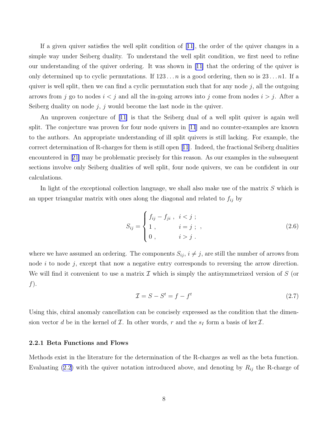<span id="page-9-0"></span>Ifa given quiver satisfies the well split condition of  $|11|$ , the order of the quiver changes in a simple way under Seiberg duality. To understand the well split condition, we first need to refine our understanding of the quiver ordering. It was shown in [\[11\]](#page-41-0) that the ordering of the quiver is only determined up to cyclic permutations. If  $123 \ldots n$  is a good ordering, then so is  $23 \ldots n1$ . If a quiver is well split, then we can find a cyclic permutation such that for any node  $j$ , all the outgoing arrows from j go to nodes  $i < j$  and all the in-going arrows into j come from nodes  $i > j$ . After a Seiberg duality on node  $j, j$  would become the last node in the quiver.

An unproven conjecture of [\[11\]](#page-41-0) is that the Seiberg dual of a well split quiver is again well split. The conjecture was proven for four node quivers in [\[11](#page-41-0)] and no counter-examples are known to the authors. An appropriate understanding of ill split quivers is still lacking. For example, the correct determination of R-charges for them is still open[[11](#page-41-0)]. Indeed, the fractional Seiberg dualities encountered in[[21\]](#page-42-0) may be problematic precisely for this reason. As our examples in the subsequent sections involve only Seiberg dualities of well split, four node quivers, we can be confident in our calculations.

In light of the exceptional collection language, we shall also make use of the matrix  $S$  which is an upper triangular matrix with ones along the diagonal and related to  $f_{ij}$  by

$$
S_{ij} = \begin{cases} f_{ij} - f_{ji} , & i < j ; \\ 1 , & i = j ; \\ 0 , & i > j . \end{cases}
$$
 (2.6)

where we have assumed an ordering. The components  $S_{ij}$ ,  $i \neq j$ , are still the number of arrows from node i to node j, except that now a negative entry corresponds to reversing the arrow direction. We will find it convenient to use a matrix  $\mathcal I$  which is simply the antisymmetrized version of  $S$  (or  $f$ ).

$$
\mathcal{I} = S - S^t = f - f^t \tag{2.7}
$$

Using this, chiral anomaly cancellation can be concisely expressed as the condition that the dimension vector d be in the kernel of  $\mathcal I$ . In other words, r and the  $s_I$  form a basis of ker  $\mathcal I$ .

#### 2.2.1 Beta Functions and Flows

Methods exist in the literature for the determination of the R-charges as well as the beta function. Evaluating [\(2.2](#page-6-0)) with the quiver notation introduced above, and denoting by  $R_{ij}$  the R-charge of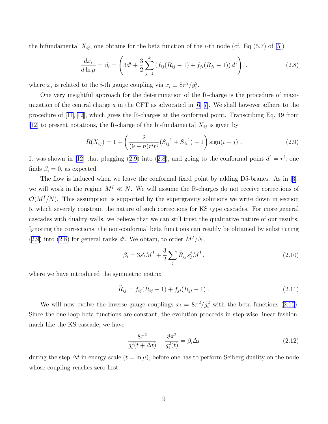<span id="page-10-0"></span>the bifundamental  $X_{ij}$ , one obtains for the beta function of the *i*-th node (cf. Eq (5.7) of [\[5](#page-40-0)])

$$
\frac{dx_i}{d\ln\mu} = \beta_i = \left(3d^i + \frac{3}{2}\sum_{j=1}^k \left(f_{ij}(R_{ij} - 1) + f_{ji}(R_{ji} - 1)\right)d^j\right) \tag{2.8}
$$

where  $x_i$  is related to the *i*-th gauge coupling via  $x_i \equiv 8\pi^2/g_i^2$ .

One very insightful approach for the determination of the R-charge is the procedure of maximizationof the central charge a in the CFT as advocated in  $[6, 7]$  $[6, 7]$  $[6, 7]$ . We shall however adhere to the procedure of [\[11](#page-41-0), [12](#page-41-0)], which gives the R-charges at the conformal point. Transcribing Eq. 49 from [\[12](#page-41-0)] to present notations, the R-charge of the bi-fundamental  $X_{ij}$  is given by

$$
R(X_{ij}) = 1 + \left(\frac{2}{(9-n)r^{i}r^{j}}(S_{ij}^{-1} + S_{ji}^{-1}) - 1\right) \text{sign}(i-j) . \tag{2.9}
$$

It was shown in [\[12](#page-41-0)] that plugging (2.9) into (2.8), and going to the conformal point  $d^i = r^i$ , one finds  $\beta_i = 0$ , as expected.

Theflow is induced when we leave the conformal fixed point by adding D5-branes. As in [[3\]](#page-40-0), we will work in the regime  $M<sup>I</sup> \ll N$ . We will assume the R-charges do not receive corrections of  $\mathcal{O}(M^I/N)$ . This assumption is supported by the supergravity solutions we write down in section 5, which severely constrain the nature of such corrections for KS type cascades. For more general cascades with duality walls, we believe that we can still trust the qualitative nature of our results. Ignoring the corrections, the non-conformal beta functions can readily be obtained by substituting  $(2.9)$  into  $(2.8)$  for general ranks  $d^i$ . We obtain, to order  $M^I/N$ ,

$$
\beta_i = 3s_I^i M^I + \frac{3}{2} \sum_j \widetilde{R}_{ij} s_I^j M^I , \qquad (2.10)
$$

where we have introduced the symmetric matrix

$$
\widetilde{R}_{ij} = f_{ij}(R_{ij} - 1) + f_{ji}(R_{ji} - 1) \tag{2.11}
$$

We will now evolve the inverse gauge couplings  $x_i = 8\pi^2/g_i^2$  with the beta functions (2.10). Since the one-loop beta functions are constant, the evolution proceeds in step-wise linear fashion, much like the KS cascade; we have

$$
\frac{8\pi^2}{g_i^2(t+\Delta t)} - \frac{8\pi^2}{g_i^2(t)} = \beta_i \Delta t \tag{2.12}
$$

during the step  $\Delta t$  in energy scale  $(t = \ln \mu)$ , before one has to perform Seiberg duality on the node whose coupling reaches zero first.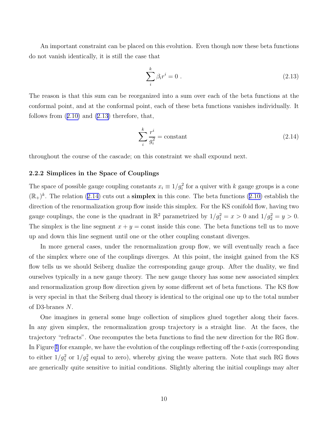<span id="page-11-0"></span>An important constraint can be placed on this evolution. Even though now these beta functions do not vanish identically, it is still the case that

$$
\sum_{i}^{k} \beta_i r^i = 0 \tag{2.13}
$$

The reason is that this sum can be reorganized into a sum over each of the beta functions at the conformal point, and at the conformal point, each of these beta functions vanishes individually. It follows from  $(2.10)$  $(2.10)$  and  $(2.13)$  therefore, that,

$$
\sum_{i}^{k} \frac{r^i}{g_i^2} = \text{constant} \tag{2.14}
$$

throughout the course of the cascade; on this constraint we shall expound next.

#### 2.2.2 Simplices in the Space of Couplings

The space of possible gauge coupling constants  $x_i \equiv 1/g_i^2$  for a quiver with k gauge groups is a cone  $(\mathbb{R}_+)^k$ . The relation (2.14) cuts out a **simplex** in this cone. The beta functions [\(2.10\)](#page-10-0) establish the direction of the renormalization group flow inside this simplex. For the KS conifold flow, having two gauge couplings, the cone is the quadrant in  $\mathbb{R}^2$  parametrized by  $1/g_1^2 = x > 0$  and  $1/g_2^2 = y > 0$ . The simplex is the line segment  $x + y =$  const inside this cone. The beta functions tell us to move up and down this line segment until one or the other coupling constant diverges.

In more general cases, under the renormalization group flow, we will eventually reach a face of the simplex where one of the couplings diverges. At this point, the insight gained from the KS flow tells us we should Seiberg dualize the corresponding gauge group. After the duality, we find ourselves typically in a new gauge theory. The new gauge theory has some new associated simplex and renormalization group flow direction given by some different set of beta functions. The KS flow is very special in that the Seiberg dual theory is identical to the original one up to the total number of D3-branes N.

One imagines in general some huge collection of simplices glued together along their faces. In any given simplex, the renormalization group trajectory is a straight line. At the faces, the trajectory "refracts". One recomputes the beta functions to find the new direction for the RG flow. In Figure [1](#page-7-0) for example, we have the evolution of the couplings reflecting off the  $t$ -axis (corresponding to either  $1/g_1^2$  or  $1/g_2^2$  equal to zero), whereby giving the weave pattern. Note that such RG flows are generically quite sensitive to initial conditions. Slightly altering the initial couplings may alter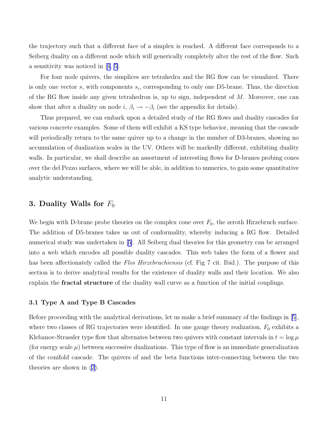<span id="page-12-0"></span>the trajectory such that a different face of a simplex is reached. A different face corresponds to a Seiberg duality on a different node which will generically completely alter the rest of the flow. Such a sensitivity was noticed in[[4, 5\]](#page-40-0).

For four node quivers, the simplices are tetrahedra and the RG flow can be visualized. There is only one vector s, with components  $s_i$ , corresponding to only one D5-brane. Thus, the direction of the RG flow inside any given tetrahedron is, up to sign, independent of  $M$ . Moreover, one can show that after a duality on node  $i, \beta_i \rightarrow -\beta_i$  (see the appendix for details).

Thus prepared, we can embark upon a detailed study of the RG flows and duality cascades for various concrete examples. Some of them will exhibit a KS type behavior, meaning that the cascade will periodically return to the same quiver up to a change in the number of D3-branes, showing no accumulation of dualization scales in the UV. Others will be markedly different, exhibiting duality walls. In particular, we shall describe an assortment of interesting flows for D-branes probing cones over the del Pezzo surfaces, where we will be able, in addition to numerics, to gain some quantitative analytic understanding.

# 3. Duality Walls for  $F_0$

We begin with D-brane probe theories on the complex cone over  $F_0$ , the zeroth Hirzebruch surface. The addition of D5-branes takes us out of conformality, whereby inducing a RG flow. Detailed numerical study was undertaken in [\[5\]](#page-40-0). All Seiberg dual theories for this geometry can be arranged into a web which encodes all possible duality cascades. This web takes the form of a flower and has been affectionately called the Flos Hirzebruchiensis (cf. Fig 7 cit. Ibid.). The purpose of this section is to derive analytical results for the existence of duality walls and their location. We also explain the fractal structure of the duality wall curve as a function of the initial couplings.

#### 3.1 Type A and Type B Cascades

Before proceeding with the analytical derivations, let us make a brief summary of the findings in[[5\]](#page-40-0), where two classes of RG trajectories were identified. In one gauge theory realization,  $F_0$  exhibits a Klebanov-Strassler type flow that alternates between two quivers with constant intervals in  $t = \log \mu$ (for energy scale  $\mu$ ) between successive dualizations. This type of flow is an immediate generalization of the conifold cascade. The quivers of and the beta functions inter-connecting between the two theories are shown in ([2\)](#page-13-0).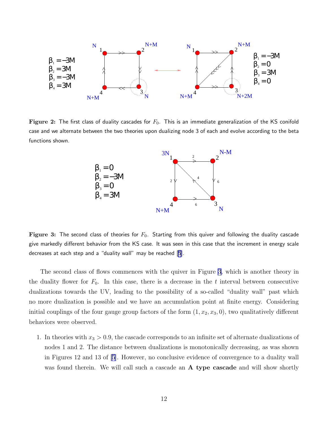<span id="page-13-0"></span>

Figure 2: The first class of duality cascades for  $F_0$ . This is an immediate generalization of the KS conifold case and we alternate between the two theories upon dualizing node 3 of each and evolve according to the beta functions shown.



Figure 3: The second class of theories for  $F_0$ . Starting from this quiver and following the duality cascade give markedly different behavior from the KS case. It was seen in this case that the increment in energy scale decreases at each step and a "duality wall" may be reached[[5](#page-40-0)].

The second class of flows commences with the quiver in Figure 3, which is another theory in the duality flower for  $F_0$ . In this case, there is a decrease in the t interval between consecutive dualizations towards the UV, leading to the possibility of a so-called "duality wall" past which no more dualization is possible and we have an accumulation point at finite energy. Considering initial couplings of the four gauge group factors of the form  $(1, x_2, x_3, 0)$ , two qualitatively different behaviors were observed.

1. In theories with  $x_3 > 0.9$ , the cascade corresponds to an infinite set of alternate dualizations of nodes 1 and 2. The distance between dualizations is monotonically decreasing, as was shown in Figures 12 and 13 of [\[5\]](#page-40-0). However, no conclusive evidence of convergence to a duality wall was found therein. We will call such a cascade an **A type cascade** and will show shortly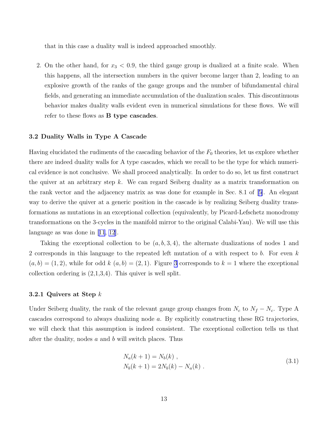<span id="page-14-0"></span>that in this case a duality wall is indeed approached smoothly.

2. On the other hand, for  $x_3 < 0.9$ , the third gauge group is dualized at a finite scale. When this happens, all the intersection numbers in the quiver become larger than 2, leading to an explosive growth of the ranks of the gauge groups and the number of bifundamental chiral fields, and generating an immediate accumulation of the dualization scales. This discontinuous behavior makes duality walls evident even in numerical simulations for these flows. We will refer to these flows as B type cascades.

#### 3.2 Duality Walls in Type A Cascade

Having elucidated the rudiments of the cascading behavior of the  $F_0$  theories, let us explore whether there are indeed duality walls for A type cascades, which we recall to be the type for which numerical evidence is not conclusive. We shall proceed analytically. In order to do so, let us first construct the quiver at an arbitrary step k. We can regard Seiberg duality as a matrix transformation on the rank vector and the adjacency matrix as was done for example in Sec. 8.1 of[[5\]](#page-40-0). An elegant way to derive the quiver at a generic position in the cascade is by realizing Seiberg duality transformations as mutations in an exceptional collection (equivalently, by Picard-Lefschetz monodromy transformations on the 3-cycles in the manifold mirror to the original Calabi-Yau). We will use this language as was done in[[11](#page-41-0), [12](#page-41-0)].

Taking the exceptional collection to be  $(a, b, 3, 4)$ , the alternate dualizations of nodes 1 and 2 corresponds in this language to the repeated left mutation of a with respect to b. For even  $k$  $(a, b) = (1, 2)$ , while for odd k  $(a, b) = (2, 1)$ . Figure [3](#page-13-0) corresponds to  $k = 1$  where the exceptional collection ordering is  $(2,1,3,4)$ . This quiver is well split.

#### 3.2.1 Quivers at Step k

Under Seiberg duality, the rank of the relevant gauge group changes from  $N_c$  to  $N_f - N_c$ . Type A cascades correspond to always dualizing node a. By explicitly constructing these RG trajectories, we will check that this assumption is indeed consistent. The exceptional collection tells us that after the duality, nodes a and b will switch places. Thus

$$
N_a(k+1) = N_b(k) ,
$$
  
\n
$$
N_b(k+1) = 2N_b(k) - N_a(k) .
$$
\n(3.1)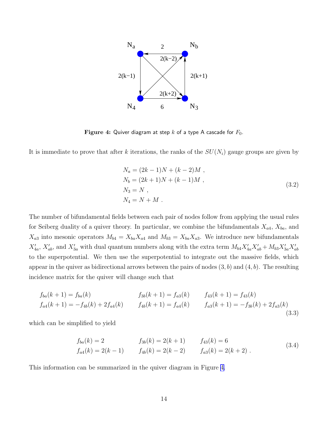<span id="page-15-0"></span>

Figure 4: Quiver diagram at step k of a type A cascade for  $F_0$ .

It is immediate to prove that after k iterations, the ranks of the  $SU(N_i)$  gauge groups are given by

$$
N_a = (2k - 1)N + (k - 2)M,
$$
  
\n
$$
N_b = (2k + 1)N + (k - 1)M,
$$
  
\n
$$
N_3 = N,
$$
  
\n
$$
N_4 = N + M.
$$
\n(3.2)

The number of bifundamental fields between each pair of nodes follow from applying the usual rules for Seiberg duality of a quiver theory. In particular, we combine the bifundamentals  $X_{a4}$ ,  $X_{ba}$ , and  $X_{a3}$  into mesonic operators  $M_{b4} = X_{ba}X_{a4}$  and  $M_{b3} = X_{ba}X_{a3}$ . We introduce new bifundamentals  $X'_{4a}$ ,  $X'_{ab}$ , and  $X'_{3a}$  with dual quantum numbers along with the extra term  $M_{b4}X'_{4a}X'_{ab} + M_{b3}X'_{3a}X'_{ab}$ to the superpotential. We then use the superpotential to integrate out the massive fields, which appear in the quiver as bidirectional arrows between the pairs of nodes  $(3, b)$  and  $(4, b)$ . The resulting incidence matrix for the quiver will change such that

$$
f_{ba}(k+1) = f_{ba}(k) \t f_{3b}(k+1) = f_{a3}(k) \t f_{43}(k+1) = f_{43}(k) f_{a4}(k+1) = -f_{4b}(k) + 2f_{a4}(k) \t f_{4b}(k+1) = f_{a4}(k) \t f_{a3}(k+1) = -f_{3b}(k) + 2f_{a3}(k)
$$
\n(3.3)

which can be simplified to yield

$$
f_{ba}(k) = 2 \t f_{3b}(k) = 2(k+1) \t f_{43}(k) = 6
$$
  
\n
$$
f_{a4}(k) = 2(k-1) \t f_{4b}(k) = 2(k-2) \t f_{a3}(k) = 2(k+2).
$$
\n(3.4)

This information can be summarized in the quiver diagram in Figure 4.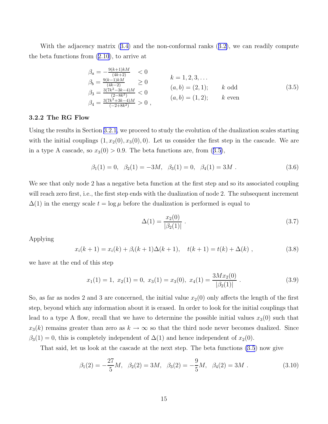<span id="page-16-0"></span>With the adjacency matrix ([3.4\)](#page-15-0) and the non-conformal ranks ([3.2\)](#page-15-0), we can readily compute the beta functions from [\(2.10](#page-10-0)), to arrive at

$$
\beta_a = -\frac{9(k+1)kM}{(4k+2)} < 0
$$
\n
$$
\beta_b = \frac{9(k-1)kM}{(4k-2)} \ge 0
$$
\n
$$
\beta_3 = \frac{3(7k^2 - 3k - 4)M}{(2-8k^2)} < 0
$$
\n
$$
\beta_4 = \frac{3(7k^2 + 3k - 4)M}{(-2+8k^2)} > 0
$$
\n
$$
\beta_5 = \frac{3(k^2 + 3k - 4)M}{(2-8k^2)} < 0
$$
\n
$$
\beta_6 = \frac{3(k^2 + 3k - 4)M}{(2-8k^2)} > 0
$$
\n
$$
\beta_7 = \frac{3(k^2 + 3k - 4)M}{(2-8k^2)} > 0
$$
\n
$$
(a, b) = (1, 2); \quad k \text{ even}
$$
\n
$$
(3.5)
$$

#### 3.2.2 The RG Flow

Using the results in Section [3.2.1,](#page-14-0) we proceed to study the evolution of the dualization scales starting with the initial couplings  $(1, x_2(0), x_3(0), 0)$ . Let us consider the first step in the cascade. We are in a type A cascade, so  $x_3(0) > 0.9$ . The beta functions are, from  $(3.5)$ ,

$$
\beta_1(1) = 0, \quad \beta_2(1) = -3M, \quad \beta_3(1) = 0, \quad \beta_4(1) = 3M. \tag{3.6}
$$

We see that only node 2 has a negative beta function at the first step and so its associated coupling will reach zero first, i.e., the first step ends with the dualization of node 2. The subsequent increment  $\Delta(1)$  in the energy scale  $t = \log \mu$  before the dualization is performed is equal to

$$
\Delta(1) = \frac{x_2(0)}{|\beta_2(1)|} \,. \tag{3.7}
$$

Applying

$$
x_i(k+1) = x_i(k) + \beta_i(k+1)\Delta(k+1), \quad t(k+1) = t(k) + \Delta(k) ,
$$
\n(3.8)

we have at the end of this step

$$
x_1(1) = 1, x_2(1) = 0, x_3(1) = x_3(0), x_4(1) = \frac{3Mx_2(0)}{|\beta_2(1)|}.
$$
 (3.9)

So, as far as nodes 2 and 3 are concerned, the initial value  $x_2(0)$  only affects the length of the first step, beyond which any information about it is erased. In order to look for the initial couplings that lead to a type A flow, recall that we have to determine the possible initial values  $x_3(0)$  such that  $x_3(k)$  remains greater than zero as  $k \to \infty$  so that the third node never becomes dualized. Since  $\beta_3(1) = 0$ , this is completely independent of  $\Delta(1)$  and hence independent of  $x_2(0)$ .

That said, let us look at the cascade at the next step. The beta functions (3.5) now give

$$
\beta_1(2) = -\frac{27}{5}M, \quad \beta_2(2) = 3M, \quad \beta_3(2) = -\frac{9}{5}M, \quad \beta_4(2) = 3M. \tag{3.10}
$$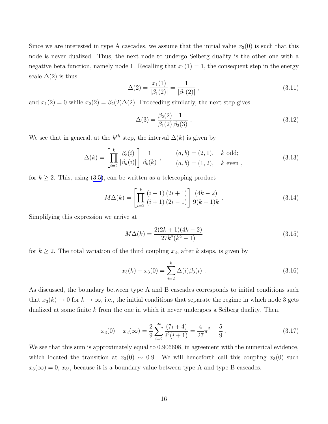<span id="page-17-0"></span>Since we are interested in type A cascades, we assume that the initial value  $x_3(0)$  is such that this node is never dualized. Thus, the next node to undergo Seiberg duality is the other one with a negative beta function, namely node 1. Recalling that  $x_1(1) = 1$ , the consequent step in the energy scale  $\Delta(2)$  is thus

$$
\Delta(2) = \frac{x_1(1)}{|\beta_1(2)|} = \frac{1}{|\beta_1(2)|},
$$
\n(3.11)

and  $x_1(2) = 0$  while  $x_2(2) = \beta_2(2)\Delta(2)$ . Proceeding similarly, the next step gives

$$
\Delta(3) = \frac{\beta_2(2)}{\beta_1(2)} \frac{1}{\beta_2(3)} .
$$
\n(3.12)

We see that in general, at the  $k^{th}$  step, the interval  $\Delta(k)$  is given by

$$
\Delta(k) = \left[ \prod_{i=2}^{k} \frac{\beta_b(i)}{|\beta_a(i)|} \right] \frac{1}{\beta_b(k)}, \qquad (a, b) = (2, 1), \quad k \text{ odd};
$$
\n
$$
(3.13)
$$
\n
$$
(a, b) = (1, 2), \quad k \text{ even},
$$

for  $k \geq 2$ . This, using ([3.5\)](#page-16-0), can be written as a telescoping product

$$
M\Delta(k) = \left[\prod_{i=2}^{k} \frac{(i-1)}{(i+1)} \frac{(2i+1)}{(2i-1)}\right] \frac{(4k-2)}{9(k-1)k}.
$$
 (3.14)

Simplifying this expression we arrive at

$$
M\Delta(k) = \frac{2(2k+1)(4k-2)}{27k^2(k^2-1)}
$$
\n(3.15)

for  $k \geq 2$ . The total variation of the third coupling  $x_3$ , after k steps, is given by

$$
x_3(k) - x_3(0) = \sum_{i=2}^{k} \Delta(i)\beta_3(i) . \qquad (3.16)
$$

As discussed, the boundary between type A and B cascades corresponds to initial conditions such that  $x_3(k) \to 0$  for  $k \to \infty$ , i.e., the initial conditions that separate the regime in which node 3 gets dualized at some finite k from the one in which it never undergoes a Seiberg duality. Then,

$$
x_3(0) - x_3(\infty) = \frac{2}{9} \sum_{i=2}^{\infty} \frac{(7i+4)}{i^2(i+1)} = \frac{4}{27}\pi^2 - \frac{5}{9}.
$$
 (3.17)

We see that this sum is approximately equal to 0.906608, in agreement with the numerical evidence, which located the transition at  $x_3(0) \sim 0.9$ . We will henceforth call this coupling  $x_3(0)$  such  $x_3(\infty) = 0$ ,  $x_{3b}$ , because it is a boundary value between type A and type B cascades.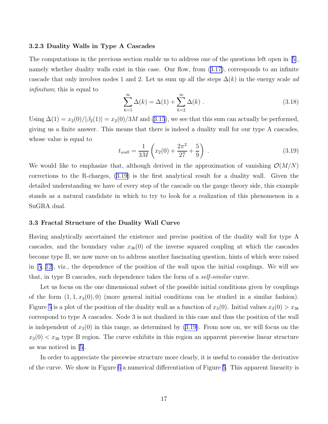#### <span id="page-18-0"></span>3.2.3 Duality Walls in Type A Cascades

The computations in the previous section enable us to address one of the questions left open in[[5\]](#page-40-0), namely whether duality walls exist in this case. Our flow, from  $(3.17)$  $(3.17)$ , corresponds to an infinite cascade that only involves nodes 1 and 2. Let us sum up all the steps  $\Delta(k)$  in the energy scale ad infinitum; this is equal to

$$
\sum_{k=1}^{\infty} \Delta(k) = \Delta(1) + \sum_{k=2}^{\infty} \Delta(k) . \qquad (3.18)
$$

Using  $\Delta(1) = x_2(0)/|\beta_2(1)| = x_2(0)/3M$  and  $(3.15)$  $(3.15)$ , we see that this sum can actually be performed, giving us a finite answer. This means that there is indeed a duality wall for our type A cascades, whose value is equal to

$$
t_{wall} = \frac{1}{3M} \left( x_2(0) + \frac{2\pi^2}{27} + \frac{5}{9} \right) \tag{3.19}
$$

We would like to emphasize that, although derived in the approximation of vanishing  $\mathcal{O}(M/N)$ corrections to the R-charges, (3.19) is the first analytical result for a duality wall. Given the detailed understanding we have of every step of the cascade on the gauge theory side, this example stands as a natural candidate in which to try to look for a realization of this phenomenon in a SuGRA dual.

#### 3.3 Fractal Structure of the Duality Wall Curve

Having analytically ascertained the existence and precise position of the duality wall for type A cascades, and the boundary value  $x_{3b}(0)$  of the inverse squared coupling at which the cascades become type B, we now move on to address another fascinating question, hints of which were raised in [\[5](#page-40-0), [12\]](#page-41-0), viz., the dependence of the position of the wall upon the initial couplings. We will see that, in type B cascades, such dependence takes the form of a self-similar curve.

Let us focus on the one dimensional subset of the possible initial conditions given by couplings of the form  $(1, 1, x_3(0), 0)$  (more general initial conditions can be studied in a similar fashion). Figure [5](#page-19-0) is a plot of the position of the duality wall as a function of  $x_3(0)$ . Initial values  $x_3(0) > x_{3b}$ correspond to type A cascades. Node 3 is not dualized in this case and thus the position of the wall is independent of  $x_3(0)$  in this range, as determined by  $(3.19)$ . From now on, we will focus on the  $x_3(0) < x_{3b}$  type B region. The curve exhibits in this region an apparent piecewise linear structure as was noticed in[[5\]](#page-40-0).

In order to appreciate the piecewise structure more clearly, it is useful to consider the derivative of the curve. We show in Figure [6](#page-19-0) a numerical differentiation of Figure [5](#page-19-0). This apparent linearity is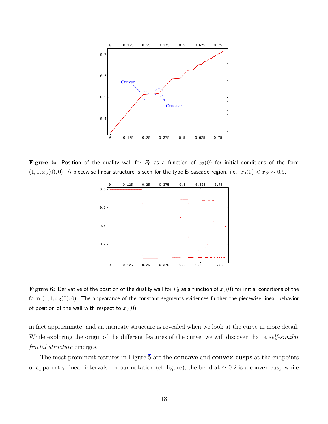<span id="page-19-0"></span>

Figure 5: Position of the duality wall for  $F_0$  as a function of  $x_3(0)$  for initial conditions of the form  $(1, 1, x_3(0), 0)$ . A piecewise linear structure is seen for the type B cascade region, i.e.,  $x_3(0) < x_{3b} \sim 0.9$ .



Figure 6: Derivative of the position of the duality wall for  $F_0$  as a function of  $x_3(0)$  for initial conditions of the form  $(1, 1, x_3(0), 0)$ . The appearance of the constant segments evidences further the piecewise linear behavior of position of the wall with respect to  $x_3(0)$ .

in fact approximate, and an intricate structure is revealed when we look at the curve in more detail. While exploring the origin of the different features of the curve, we will discover that a *self-similar* fractal structure emerges.

The most prominent features in Figure 5 are the concave and convex cusps at the endpoints of apparently linear intervals. In our notation (cf. figure), the bend at  $\simeq 0.2$  is a convex cusp while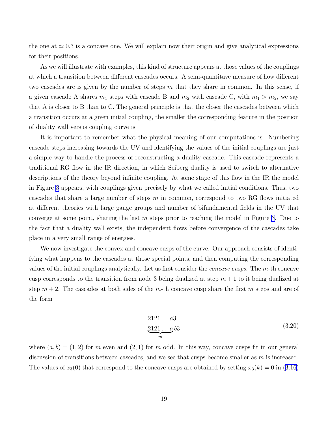<span id="page-20-0"></span>the one at  $\simeq 0.3$  is a concave one. We will explain now their origin and give analytical expressions for their positions.

As we will illustrate with examples, this kind of structure appears at those values of the couplings at which a transition between different cascades occurs. A semi-quantitave measure of how different two cascades are is given by the number of steps  $m$  that they share in common. In this sense, if a given cascade A shares  $m_1$  steps with cascade B and  $m_2$  with cascade C, with  $m_1 > m_2$ , we say that A is closer to B than to C. The general principle is that the closer the cascades between which a transition occurs at a given initial coupling, the smaller the corresponding feature in the position of duality wall versus coupling curve is.

It is important to remember what the physical meaning of our computations is. Numbering cascade steps increasing towards the UV and identifying the values of the initial couplings are just a simple way to handle the process of reconstructing a duality cascade. This cascade represents a traditional RG flow in the IR direction, in which Seiberg duality is used to switch to alternative descriptions of the theory beyond infinite coupling. At some stage of this flow in the IR the model in Figure [3](#page-13-0) appears, with couplings given precisely by what we called initial conditions. Thus, two cascades that share a large number of steps  $m$  in common, correspond to two RG flows initiated at different theories with large gauge groups and number of bifundamental fields in the UV that converge at some point, sharing the last  $m$  steps prior to reaching the model in Figure [3](#page-13-0). Due to the fact that a duality wall exists, the independent flows before convergence of the cascades take place in a very small range of energies.

We now investigate the convex and concave cusps of the curve. Our approach consists of identifying what happens to the cascades at those special points, and then computing the corresponding values of the initial couplings analytically. Let us first consider the concave cusps. The m-th concave cusp corresponds to the transition from node 3 being dualized at step  $m + 1$  to it being dualized at step  $m + 2$ . The cascades at both sides of the m-th concave cusp share the first m steps and are of the form

$$
2121...a3
$$
\n
$$
2121...a b3
$$
\n
$$
(3.20)
$$

where  $(a, b) = (1, 2)$  for m even and  $(2, 1)$  for m odd. In this way, concave cusps fit in our general discussion of transitions between cascades, and we see that cusps become smaller as  $m$  is increased. The values of  $x_3(0)$  that correspond to the concave cusps are obtained by setting  $x_3(k) = 0$  in ([3.16\)](#page-17-0)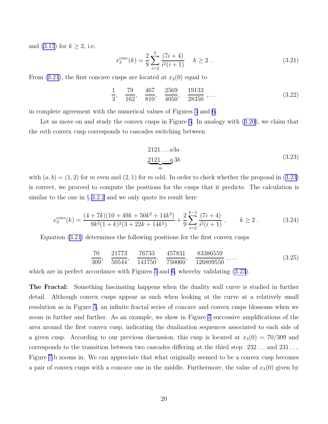<span id="page-21-0"></span>and  $(3.17)$  $(3.17)$  for  $k \geq 2$ , i.e.

$$
x_3^{conc}(k) = \frac{2}{9} \sum_{i=2}^{k} \frac{(7i+4)}{i^2(i+1)} \quad k \ge 2.
$$
 (3.21)

From  $(3.21)$ , the first concave cusps are located at  $x_3(0)$  equal to

$$
\frac{1}{3}, \quad \frac{79}{162}, \quad \frac{467}{810}, \quad \frac{2569}{4050}, \quad \frac{19133}{28350}, \dots
$$
 (3.22)

in complete agreement with the numerical values of Figures [5](#page-19-0) and [6.](#page-19-0)

Let us move on and study the convex cusps in Figure [5](#page-19-0). In analogy with ([3.20\)](#page-20-0), we claim that the mth convex cusp corresponds to cascades switching between

$$
2121...a3a
$$
  
2121...a3b (3.23)

with  $(a, b) = (1, 2)$  for m even and  $(2, 1)$  for m odd. In order to check whether the proposal in  $(3.23)$ is correct, we proceed to compute the positions for the cusps that it predicts. The calculation is similar to the one in  $\S 3.2.2$  $\S 3.2.2$  and we only quote its result here

$$
x_3^{conv}(k) = \frac{(4+7k)(10+49k+50k^2+14k^3)}{9k^2(1+k)^2(3+22k+14k^2)} + \frac{2}{9} \sum_{i=2}^{k-1} \frac{(7i+4)}{i^2(i+1)}, \qquad k \ge 2.
$$
 (3.24)

Equation (3.21) determines the following positions for the first convex cusps

$$
\frac{70}{309}, \quad \frac{21773}{50544}, \quad \frac{76733}{141750}, \quad \frac{457831}{750060}, \quad \frac{83386559}{126809550}, \dots \tag{3.25}
$$

which are in perfect accordance with Figures [5](#page-19-0) and [6](#page-19-0), whereby validating  $(3.23)$ .

The Fractal: Something fascinating happens when the duality wall curve is studied in further detail. Although convex cusps appear as such when looking at the curve at a relatively small resolution as in Figure [5](#page-19-0), an infinite fractal series of concave and convex cusps blossoms when we zoom in further and further. As an example, we show in Figure [7](#page-22-0) successive amplifications of the area around the first convex cusp, indicating the dualization sequences associated to each side of a given cusp. According to our previous discussion, this cusp is located at  $x_3(0) = 70/309$  and corresponds to the transition between two cascades differing at the third step: 232 . . . and 231 . . .. Figure [7.](#page-22-0)b zooms in. We can appreciate that what originally seemed to be a convex cusp becomes a pair of convex cusps with a concave one in the middle. Furthermore, the value of  $x_3(0)$  given by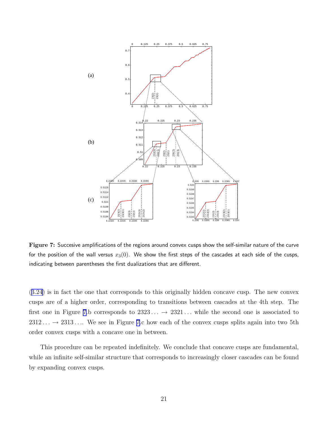<span id="page-22-0"></span>

Figure 7: Succesive amplifications of the regions around convex cusps show the self-similar nature of the curve for the position of the wall versus  $x_3(0)$ . We show the first steps of the cascades at each side of the cusps, indicating between parentheses the first dualizations that are different.

([3.24](#page-21-0)) is in fact the one that corresponds to this originally hidden concave cusp. The new convex cusps are of a higher order, corresponding to transitions between cascades at the 4th step. The first one in Figure 7.b corresponds to  $2323... \rightarrow 2321...$  while the second one is associated to  $2312... \rightarrow 2313...$  We see in Figure 7.c how each of the convex cusps splits again into two 5th order convex cusps with a concave one in between.

This procedure can be repeated indefinitely. We conclude that concave cusps are fundamental, while an infinite self-similar structure that corresponds to increasingly closer cascades can be found by expanding convex cusps.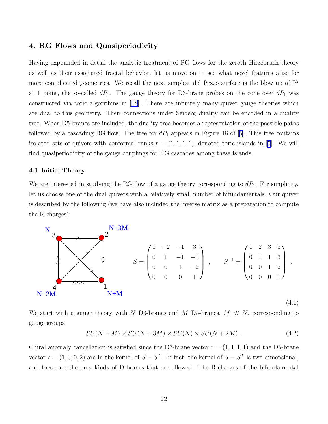# <span id="page-23-0"></span>4. RG Flows and Quasiperiodicity

Having expounded in detail the analytic treatment of RG flows for the zeroth Hirzebruch theory as well as their associated fractal behavior, let us move on to see what novel features arise for more complicated geometries. We recall the next simplest del Pezzo surface is the blow up of  $\mathbb{P}^2$ at 1 point, the so-called  $dP_1$ . The gauge theory for D3-brane probes on the cone over  $dP_1$  was constructed via toric algorithms in [\[18\]](#page-41-0). There are infinitely many quiver gauge theories which are dual to this geometry. Their connections under Seiberg duality can be encoded in a duality tree. When D5-branes are included, the duality tree becomes a representation of the possible paths followedby a cascading RG flow. The tree for  $dP_1$  appears in Figure 18 of [[5\]](#page-40-0). This tree contains isolatedsets of quivers with conformal ranks  $r = (1, 1, 1, 1)$ , denoted toric islands in [[5](#page-40-0)]. We will find quasiperiodicity of the gauge couplings for RG cascades among these islands.

#### 4.1 Initial Theory

We are interested in studying the RG flow of a gauge theory corresponding to  $dP_1$ . For simplicity, let us choose one of the dual quivers with a relatively small number of bifundamentals. Our quiver is described by the following (we have also included the inverse matrix as a preparation to compute the R-charges):



We start with a gauge theory with N D3-branes and M D5-branes,  $M \ll N$ , corresponding to gauge groups

$$
SU(N+M) \times SU(N+3M) \times SU(N) \times SU(N+2M) . \tag{4.2}
$$

Chiral anomaly cancellation is satisfied since the D3-brane vector  $r = (1, 1, 1, 1)$  and the D5-brane vector  $s = (1, 3, 0, 2)$  are in the kernel of  $S - S<sup>T</sup>$ . In fact, the kernel of  $S - S<sup>T</sup>$  is two dimensional, and these are the only kinds of D-branes that are allowed. The R-charges of the bifundamental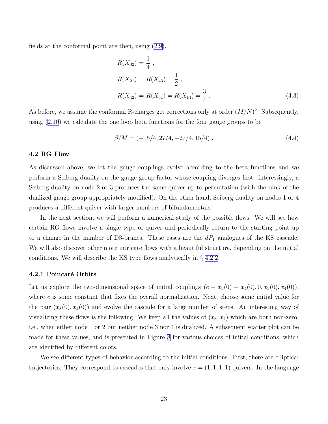<span id="page-24-0"></span>fields at the conformal point are then, using ([2.9\)](#page-10-0),

$$
R(X_{32}) = \frac{1}{4},
$$
  
\n
$$
R(X_{21}) = R(X_{43}) = \frac{1}{2},
$$
  
\n
$$
R(X_{42}) = R(X_{31}) = R(X_{14}) = \frac{3}{4}.
$$
\n(4.3)

As before, we assume the conformal R-charges get corrections only at order  $(M/N)^2$ . Subsequently, using [\(2.10](#page-10-0)) we calculate the one loop beta functions for the four gauge groups to be

$$
\beta/M = (-15/4, 27/4, -27/4, 15/4) \tag{4.4}
$$

#### 4.2 RG Flow

As discussed above, we let the gauge couplings evolve according to the beta functions and we perform a Seiberg duality on the gauge group factor whose coupling diverges first. Interestingly, a Seiberg duality on node 2 or 3 produces the same quiver up to permutation (with the rank of the dualized gauge group appropriately modified). On the other hand, Seiberg duality on nodes 1 or 4 produces a different quiver with larger numbers of bifundamentals.

In the next section, we will perform a numerical study of the possible flows. We will see how certain RG flows involve a single type of quiver and periodically return to the starting point up to a change in the number of D3-branes. These cases are the  $dP_1$  analogues of the KS cascade. We will also discover other more intricate flows with a beautiful structure, depending on the initial conditions. We will describe the KS type flows analytically in § [4.2.2](#page-26-0).

#### 4.2.1 Poincaré Orbits

Let us explore the two-dimensional space of initial couplings  $(c - x_3(0) - x_4(0), 0, x_3(0), x_4(0)),$ where  $c$  is some constant that fixes the overall normalization. Next, choose some initial value for the pair  $(x_3(0), x_4(0))$  and evolve the cascade for a large number of steps. An interesting way of visualizing these flows is the following. We keep all the values of  $(x_3, x_4)$  which are both non-zero, i.e., when either node 1 or 2 but neither node 3 nor 4 is dualized. A subsequent scatter plot can be made for these values, and is presented in Figure [8](#page-25-0) for various choices of initial conditions, which are identified by different colors.

We see different types of behavior according to the initial conditions. First, there are elliptical trajectories. They correspond to cascades that only involve  $r = (1, 1, 1, 1)$  quivers. In the language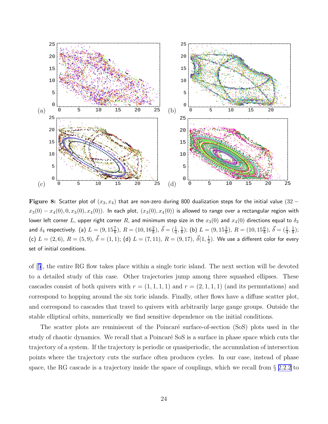<span id="page-25-0"></span>

Figure 8: Scatter plot of  $(x_3, x_4)$  that are non-zero during 800 dualization steps for the initial value (32 –  $x_3(0) - x_4(0), 0, x_3(0), x_4(0)$ . In each plot,  $(x_3(0), x_4(0))$  is allowed to range over a rectangular region with lower left corner L, upper right corner R, and minimum step size in the  $x_3(0)$  and  $x_4(0)$  directions equal to  $\delta_3$ and  $\delta_4$  respectively. (a)  $L=(9,15\frac{7}{8}),\ R=(10,16\frac{2}{8}),\ \vec{\delta}=(\frac{1}{4},\frac{1}{8})$  $\frac{1}{8}$ ); (b)  $L = (9, 15\frac{3}{8})$ ,  $R = (10, 15\frac{6}{8})$ ,  $\vec{\delta} = (\frac{1}{4}, \frac{1}{8})$  $\frac{1}{8}$ ; (c)  $L = (2,6), R = (5,9), \vec{\delta} = (1,1);$  (d)  $L = (7,11), R = (9,17), \vec{\delta} (1, \frac{1}{2})$  $\frac{1}{2}$ ). We use a different color for every set of initial conditions.

of[[5](#page-40-0)], the entire RG flow takes place within a single toric island. The next section will be devoted to a detailed study of this case. Other trajectories jump among three squashed ellipses. These cascades consist of both quivers with  $r = (1, 1, 1, 1)$  and  $r = (2, 1, 1, 1)$  (and its permutations) and correspond to hopping around the six toric islands. Finally, other flows have a diffuse scatter plot, and correspond to cascades that travel to quivers with arbitrarily large gauge groups. Outside the stable elliptical orbits, numerically we find sensitive dependence on the initial conditions.

The scatter plots are reminiscent of the Poincaré surface-of-section (SoS) plots used in the study of chaotic dynamics. We recall that a Poincaré SoS is a surface in phase space which cuts the trajectory of a system. If the trajectory is periodic or quasiperiodic, the accumulation of intersection points where the trajectory cuts the surface often produces cycles. In our case, instead of phase space, the RG cascade is a trajectory inside the space of couplings, which we recall from § [2.2.2](#page-11-0) to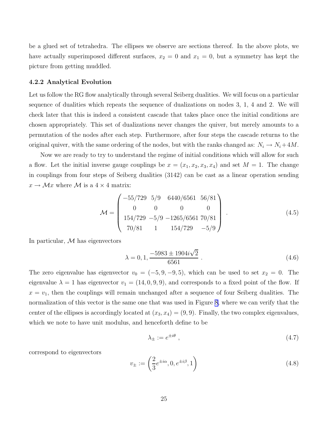<span id="page-26-0"></span>be a glued set of tetrahedra. The ellipses we observe are sections thereof. In the above plots, we have actually superimposed different surfaces,  $x_2 = 0$  and  $x_1 = 0$ , but a symmetry has kept the picture from getting muddled.

#### 4.2.2 Analytical Evolution

Let us follow the RG flow analytically through several Seiberg dualities. We will focus on a particular sequence of dualities which repeats the sequence of dualizations on nodes 3, 1, 4 and 2. We will check later that this is indeed a consistent cascade that takes place once the initial conditions are chosen appropriately. This set of dualizations never changes the quiver, but merely amounts to a permutation of the nodes after each step. Furthermore, after four steps the cascade returns to the original quiver, with the same ordering of the nodes, but with the ranks changed as:  $N_i \rightarrow N_i + 4M$ .

Now we are ready to try to understand the regime of initial conditions which will allow for such a flow. Let the initial inverse gauge couplings be  $x = (x_1, x_2, x_3, x_4)$  and set  $M = 1$ . The change in couplings from four steps of Seiberg dualities (3142) can be cast as a linear operation sending  $x \rightarrow \mathcal{M}x$  where  $\mathcal M$  is a  $4 \times 4$  matrix:

$$
\mathcal{M} = \begin{pmatrix}\n-55/729 & 5/9 & 6440/6561 & 56/81 \\
0 & 0 & 0 & 0 \\
154/729 & -5/9 & -1265/6561 & 70/81 \\
70/81 & 1 & 154/729 & -5/9\n\end{pmatrix} .
$$
\n(4.5)

In particular,  $M$  has eigenvectors

$$
\lambda = 0, 1, \frac{-5983 \pm 1904 \mathrm{i} \sqrt{2}}{6561} \,. \tag{4.6}
$$

The zero eigenvalue has eigenvector  $v_0 = (-5, 9, -9, 5)$ , which can be used to set  $x_2 = 0$ . The eigenvalue  $\lambda = 1$  has eigenvector  $v_1 = (14, 0, 9, 9)$ , and corresponds to a fixed point of the flow. If  $x = v_1$ , then the couplings will remain unchanged after a sequence of four Seiberg dualities. The normalization of this vector is the same one that was used in Figure [8](#page-25-0), where we can verify that the center of the ellipses is accordingly located at  $(x_3, x_4) = (9, 9)$ . Finally, the two complex eigenvalues, which we note to have unit modulus, and henceforth define to be

$$
\lambda_{\pm} := e^{\pm i\theta} \tag{4.7}
$$

correspond to eigenvectors

$$
v_{\pm} := \left(\frac{2}{3}e^{\pm i\alpha}, 0, e^{\pm i\beta}, 1\right) \tag{4.8}
$$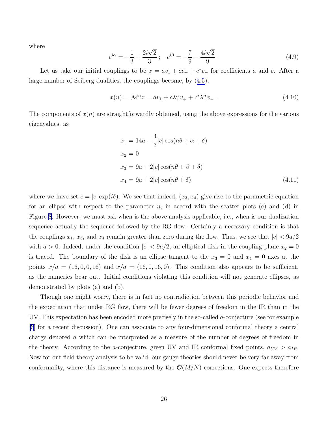<span id="page-27-0"></span>where

$$
e^{i\alpha} = -\frac{1}{3} + \frac{2i\sqrt{2}}{3}; \quad e^{i\beta} = -\frac{7}{9} - \frac{4i\sqrt{2}}{9} \ . \tag{4.9}
$$

Let us take our initial couplings to be  $x = av_1 + cv_+ + c^*v_-$  for coefficients a and c. After a large number of Seiberg dualities, the couplings become, by ([4.5\)](#page-26-0),

$$
x(n) = \mathcal{M}^n x = av_1 + c\lambda_+^n v_+ + c^* \lambda_-^n v_- \,. \tag{4.10}
$$

The components of  $x(n)$  are straightforwardly obtained, using the above expressions for the various eigenvalues, as

$$
x_1 = 14a + \frac{4}{3}|c|\cos(n\theta + \alpha + \delta)
$$
  
\n
$$
x_2 = 0
$$
  
\n
$$
x_3 = 9a + 2|c|\cos(n\theta + \beta + \delta)
$$
  
\n
$$
x_4 = 9a + 2|c|\cos(n\theta + \delta)
$$
\n(4.11)

where we have set  $c = |c| \exp(i\delta)$ . We see that indeed,  $(x_3, x_4)$  give rise to the parametric equation for an ellipse with respect to the parameter n, in accord with the scatter plots (c) and (d) in Figure [8](#page-25-0). However, we must ask when is the above analysis applicable, i.e., when is our dualization sequence actually the sequence followed by the RG flow. Certainly a necessary condition is that the couplings  $x_1, x_3$ , and  $x_4$  remain greater than zero during the flow. Thus, we see that  $|c| < 9a/2$ with  $a > 0$ . Indeed, under the condition  $|c| < 9a/2$ , an elliptical disk in the coupling plane  $x_2 = 0$ is traced. The boundary of the disk is an ellipse tangent to the  $x_3 = 0$  and  $x_4 = 0$  axes at the points  $x/a = (16, 0, 0, 16)$  and  $x/a = (16, 0, 16, 0)$ . This condition also appears to be sufficient, as the numerics bear out. Initial conditions violating this condition will not generate ellipses, as demonstrated by plots (a) and (b).

Though one might worry, there is in fact no contradiction between this periodic behavior and the expectation that under RG flow, there will be fewer degrees of freedom in the IR than in the UV. This expectation has been encoded more precisely in the so-called a-conjecture (see for example [\[6](#page-40-0)] for a recent discussion). One can associate to any four-dimensional conformal theory a central charge denoted a which can be interpreted as a measure of the number of degrees of freedom in the theory. According to the a-conjecture, given UV and IR conformal fixed points,  $a_{UV} > a_{IR}$ . Now for our field theory analysis to be valid, our gauge theories should never be very far away from conformality, where this distance is measured by the  $\mathcal{O}(M/N)$  corrections. One expects therefore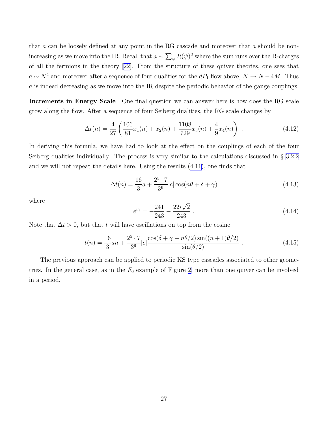that a can be loosely defined at any point in the RG cascade and moreover that a should be nonincreasing as we move into the IR. Recall that  $a \sim \sum_{\psi} R(\psi)^3$  where the sum runs over the R-charges of all the fermions in the theory[[22\]](#page-42-0). From the structure of these quiver theories, one sees that  $a \sim N^2$  and moreover after a sequence of four dualities for the  $dP_1$  flow above,  $N \to N-4M$ . Thus a is indeed decreasing as we move into the IR despite the periodic behavior of the gauge couplings.

Increments in Energy Scale One final question we can answer here is how does the RG scale grow along the flow. After a sequence of four Seiberg dualities, the RG scale changes by

$$
\Delta t(n) = \frac{4}{27} \left( \frac{106}{81} x_1(n) + x_2(n) + \frac{1108}{729} x_3(n) + \frac{4}{9} x_4(n) \right) . \tag{4.12}
$$

In deriving this formula, we have had to look at the effect on the couplings of each of the four Seiberg dualities individually. The process is very similar to the calculations discussed in § [3.2.2](#page-16-0) and we will not repeat the details here. Using the results [\(4.11\)](#page-27-0), one finds that

$$
\Delta t(n) = \frac{16}{3}a + \frac{2^5 \cdot 7}{3^6} |c| \cos(n\theta + \delta + \gamma)
$$
\n(4.13)

where

$$
e^{i\gamma} = -\frac{241}{243} - \frac{22i\sqrt{2}}{243} \,. \tag{4.14}
$$

Note that  $\Delta t > 0$ , but that t will have oscillations on top from the cosine:

$$
t(n) = \frac{16}{3}an + \frac{2^5 \cdot 7}{3^6} |c| \frac{\cos(\delta + \gamma + n\theta/2)\sin((n+1)\theta/2)}{\sin(\theta/2)}.
$$
 (4.15)

The previous approach can be applied to periodic KS type cascades associated to other geometries. In the general case, as in the  $F_0$  example of Figure [2,](#page-13-0) more than one quiver can be involved in a period.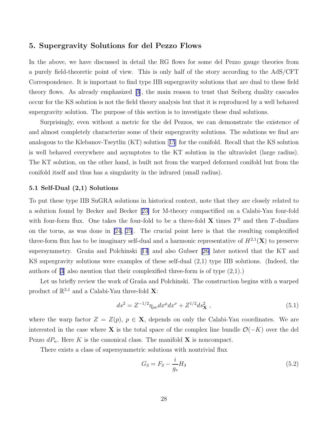### <span id="page-29-0"></span>5. Supergravity Solutions for del Pezzo Flows

In the above, we have discussed in detail the RG flows for some del Pezzo gauge theories from a purely field-theoretic point of view. This is only half of the story according to the AdS/CFT Correspondence. It is important to find type IIB supergravity solutions that are dual to these field theory flows. As already emphasized [\[3\]](#page-40-0), the main reason to trust that Seiberg duality cascades occur for the KS solution is not the field theory analysis but that it is reproduced by a well behaved supergravity solution. The purpose of this section is to investigate these dual solutions.

Surprisingly, even without a metric for the del Pezzos, we can demonstrate the existence of and almost completely characterize some of their supergravity solutions. The solutions we find are analogous to the Klebanov-Tseytlin (KT) solution[[15](#page-41-0)] for the conifold. Recall that the KS solution is well behaved everywhere and asymptotes to the KT solution in the ultraviolet (large radius). The KT solution, on the other hand, is built not from the warped deformed conifold but from the conifold itself and thus has a singularity in the infrared (small radius).

#### 5.1 Self-Dual (2,1) Solutions

To put these type IIB SuGRA solutions in historical context, note that they are closely related to a solution found by Becker and Becker[[23\]](#page-42-0) for M-theory compactified on a Calabi-Yau four-fold with four-form flux. One takes the four-fold to be a three-fold  $X$  times  $T^2$  and then T-dualizes on the torus, as was done in [\[24](#page-42-0), [25](#page-42-0)]. The crucial point here is that the resulting complexified three-form flux has to be imaginary self-dual and a harmonic representative of  $H^{2,1}(\mathbf{X})$  to preserve supersymmetry.Graña and Polchinski  $[14]$  $[14]$  $[14]$  and also Gubser  $[26]$  later noticed that the KT and KS supergravity solutions were examples of these self-dual (2,1) type IIB solutions. (Indeed, the authors of[[3\]](#page-40-0) also mention that their complexified three-form is of type (2,1).)

Let us briefly review the work of Graña and Polchinski. The construction begins with a warped product of  $\mathbb{R}^{3,1}$  and a Calabi-Yau three-fold **X**:

$$
ds^{2} = Z^{-1/2} \eta_{\mu\nu} dx^{\mu} dx^{\nu} + Z^{1/2} ds_{\mathbf{X}}^{2} , \qquad (5.1)
$$

where the warp factor  $Z = Z(p)$ ,  $p \in \mathbf{X}$ , depends on only the Calabi-Yau coordinates. We are interested in the case where **X** is the total space of the complex line bundle  $\mathcal{O}(-K)$  over the del Pezzo  $dP_n$ . Here K is the canonical class. The manifold **X** is noncompact.

There exists a class of supersymmetric solutions with nontrivial flux

$$
G_3 = F_3 - \frac{i}{g_s} H_3 \tag{5.2}
$$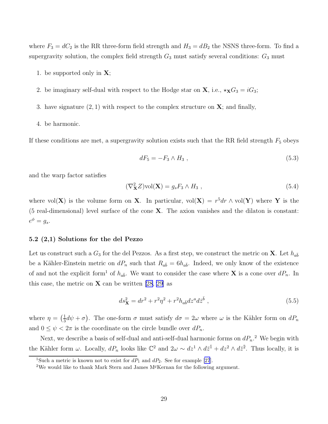<span id="page-30-0"></span>where  $F_3 = dC_2$  is the RR three-form field strength and  $H_3 = dB_2$  the NSNS three-form. To find a supergravity solution, the complex field strength  $G_3$  must satisfy several conditions:  $G_3$  must

- 1. be supported only in  $X$ ;
- 2. be imaginary self-dual with respect to the Hodge star on **X**, i.e.,  $\star_{\mathbf{X}} G_3 = iG_3$ ;
- 3. have signature  $(2, 1)$  with respect to the complex structure on  $X$ ; and finally,
- 4. be harmonic.

If these conditions are met, a supergravity solution exists such that the RR field strength  $F_5$  obeys

$$
dF_5 = -F_3 \wedge H_3 \,, \tag{5.3}
$$

and the warp factor satisfies

$$
(\nabla_{\mathbf{X}}^2 Z) \text{vol}(\mathbf{X}) = g_s F_3 \wedge H_3 , \qquad (5.4)
$$

where vol(X) is the volume form on X. In particular,  $vol(X) = r^5 dr \wedge vol(Y)$  where Y is the (5 real-dimensional) level surface of the cone X. The axion vanishes and the dilaton is constant:  $e^{\phi} = g_s.$ 

#### 5.2 (2,1) Solutions for the del Pezzo

Let us construct such a  $G_3$  for the del Pezzos. As a first step, we construct the metric on **X**. Let  $h_{a\bar{b}}$ be a Kähler-Einstein metric on  $dP_n$  such that  $R_{a\bar{b}} = 6h_{a\bar{b}}$ . Indeed, we only know of the existence of and not the explicit form<sup>1</sup> of  $h_{a\bar{b}}$ . We want to consider the case where **X** is a cone over  $dP_n$ . In this case, the metric on  $X$  can be written [\[28](#page-42-0), [29\]](#page-42-0) as

$$
ds_{\mathbf{X}}^2 = dr^2 + r^2 \eta^2 + r^2 h_{a\bar{b}} dz^a d\bar{z}^{\bar{b}} , \qquad (5.5)
$$

where  $\eta = \left(\frac{1}{3}\right)$  $\frac{1}{3}d\psi + \sigma$ ). The one-form  $\sigma$  must satisfy  $d\sigma = 2\omega$  where  $\omega$  is the Kähler form on  $dP_n$ and  $0 \leq \psi < 2\pi$  is the coordinate on the circle bundle over  $dP_n$ .

Next, we describe a basis of self-dual and anti-self-dual harmonic forms on  $dP_n$ <sup>2</sup>. We begin with the Kähler form  $\omega$ . Locally,  $dP_n$  looks like  $\mathbb{C}^2$  and  $2\omega \sim dz^1 \wedge d\bar{z}^1 + dz^2 \wedge d\bar{z}^2$ . Thus locally, it is

<sup>&</sup>lt;sup>1</sup>Such a metric is known not to exist for  $dP_1$  and  $dP_2$ . See for example [\[27](#page-42-0)].

<sup>&</sup>lt;sup>2</sup>We would like to thank Mark Stern and James M<sup>c</sup>Kernan for the following argument.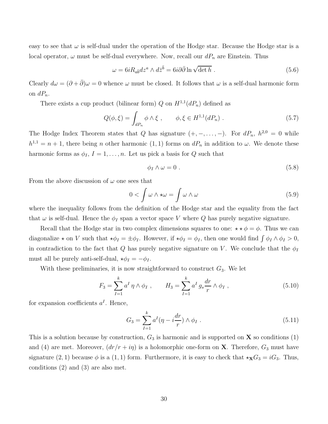<span id="page-31-0"></span>easy to see that  $\omega$  is self-dual under the operation of the Hodge star. Because the Hodge star is a local operator,  $\omega$  must be self-dual everywhere. Now, recall our  $dP_n$  are Einstein. Thus

$$
\omega = 6iR_{a\bar{b}}dz^{a} \wedge d\bar{z}^{\bar{b}} = 6i\partial\bar{\partial}\ln\sqrt{\det h} . \qquad (5.6)
$$

Clearly  $d\omega = (\partial + \overline{\partial})\omega = 0$  whence  $\omega$  must be closed. It follows that  $\omega$  is a self-dual harmonic form on  $dP_n$ .

There exists a cup product (bilinear form) Q on  $H^{1,1}(dP_n)$  defined as

$$
Q(\phi,\xi) = \int_{dP_n} \phi \wedge \xi , \qquad \phi,\xi \in H^{1,1}(dP_n) . \qquad (5.7)
$$

The Hodge Index Theorem states that Q has signature  $(+,-,\ldots,-)$ . For  $dP_n$ ,  $h^{2,0} = 0$  while  $h^{1,1} = n + 1$ , there being *n* other harmonic  $(1, 1)$  forms on  $dP_n$  in addition to  $\omega$ . We denote these harmonic forms as  $\phi_I$ ,  $I = 1, \ldots, n$ . Let us pick a basis for Q such that

$$
\phi_I \wedge \omega = 0 \tag{5.8}
$$

From the above discussion of  $\omega$  one sees that

$$
0 < \int \omega \wedge \star \omega = \int \omega \wedge \omega \tag{5.9}
$$

where the inequality follows from the definition of the Hodge star and the equality from the fact that  $\omega$  is self-dual. Hence the  $\phi_I$  span a vector space V where Q has purely negative signature.

Recall that the Hodge star in two complex dimensions squares to one:  $\star \star \phi = \phi$ . Thus we can diagonalize  $\star$  on V such that  $\star \phi_I = \pm \phi_I$ . However, if  $\star \phi_I = \phi_I$ , then one would find  $\int \phi_I \wedge \phi_I > 0$ , in contradiction to the fact that Q has purely negative signature on V. We conclude that the  $\phi_I$ must all be purely anti-self-dual,  $\star \phi_I = -\phi_I$ .

With these preliminaries, it is now straightforward to construct  $G_3$ . We let

$$
F_3 = \sum_{I=1}^k a^I \eta \wedge \phi_I , \qquad H_3 = \sum_{I=1}^k a^I g_s \frac{dr}{r} \wedge \phi_I , \qquad (5.10)
$$

for expansion coefficients  $a<sup>I</sup>$ . Hence,

$$
G_3 = \sum_{I=1}^{k} a^I (\eta - i \frac{dr}{r}) \wedge \phi_I . \qquad (5.11)
$$

This is a solution because by construction,  $G_3$  is harmonic and is supported on **X** so conditions (1) and (4) are met. Moreover,  $(dr/r + i\eta)$  is a holomorphic one-form on **X**. Therefore,  $G_3$  must have signature (2, 1) because  $\phi$  is a (1, 1) form. Furthermore, it is easy to check that  $\star_{\mathbf{X}} G_3 = iG_3$ . Thus, conditions (2) and (3) are also met.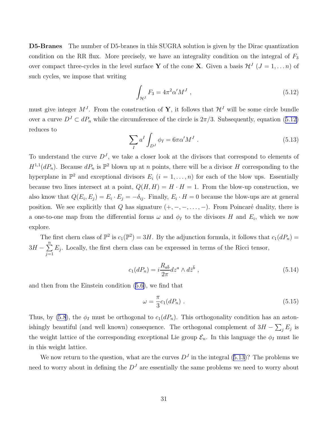<span id="page-32-0"></span>D5-Branes The number of D5-branes in this SUGRA solution is given by the Dirac quantization condition on the RR flux. More precisely, we have an integrality condition on the integral of  $F_3$ over compact three-cycles in the level surface Y of the cone X. Given a basis  $\mathcal{H}^J$   $(J = 1, \ldots n)$  of such cycles, we impose that writing

$$
\int_{\mathcal{H}^J} F_3 = 4\pi^2 \alpha' M^J , \qquad (5.12)
$$

must give integer  $M<sup>J</sup>$ . From the construction of **Y**, it follows that  $\mathcal{H}<sup>J</sup>$  will be some circle bundle over a curve  $D^{J} \subset dP_n$  while the circumference of the circle is  $2\pi/3$ . Subsequently, equation (5.12) reduces to

$$
\sum_{I} a^{I} \int_{D^{J}} \phi_{I} = 6\pi \alpha' M^{J} . \qquad (5.13)
$$

To understand the curve  $D^{J}$ , we take a closer look at the divisors that correspond to elements of  $H^{1,1}(dP_n)$ . Because  $dP_n$  is  $\mathbb{P}^2$  blown up at n points, there will be a divisor H corresponding to the hyperplane in  $\mathbb{P}^2$  and exceptional divisors  $E_i$   $(i = 1, ..., n)$  for each of the blow ups. Essentially because two lines intersect at a point,  $Q(H, H) = H \cdot H = 1$ . From the blow-up construction, we also know that  $Q(E_i, E_j) = E_i \cdot E_j = -\delta_{ij}$ . Finally,  $E_i \cdot H = 0$  because the blow-ups are at general position. We see explicitly that Q has signature  $(+, -, -, \ldots, -)$ . From Poincaré duality, there is a one-to-one map from the differential forms  $\omega$  and  $\phi_I$  to the divisors H and  $E_i$ , which we now explore.

The first chern class of  $\mathbb{P}^2$  is  $c_1(\mathbb{P}^2) = 3H$ . By the adjunction formula, it follows that  $c_1(dP_n) =$  $3H - \sum_{n=1}^{n}$  $j=1$  $E_j$ . Locally, the first chern class can be expressed in terms of the Ricci tensor,

$$
c_1(dP_n) = i\frac{R_{a\bar{b}}}{2\pi} dz^a \wedge d\bar{z}^{\bar{b}} , \qquad (5.14)
$$

and then from the Einstein condition ([5.6\)](#page-31-0), we find that

$$
\omega = \frac{\pi}{3} c_1 (dP_n) \tag{5.15}
$$

Thus, by [\(5.8](#page-31-0)), the  $\phi_I$  must be orthogonal to  $c_1(dP_n)$ . This orthogonality condition has an astonishingly beautiful (and well known) consequence. The orthogonal complement of  $3H - \sum_j E_j$  is the weight lattice of the corresponding exceptional Lie group  $\mathcal{E}_n$ . In this language the  $\phi_I$  must lie in this weight lattice.

We now return to the question, what are the curves  $D<sup>J</sup>$  in the integral (5.13)? The problems we need to worry about in defining the  $D<sup>J</sup>$  are essentially the same problems we need to worry about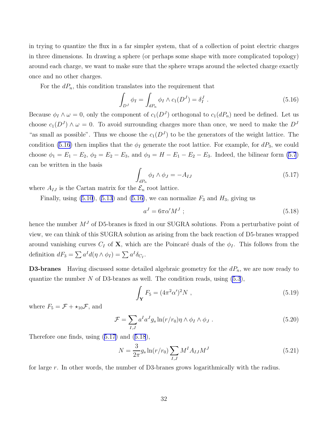<span id="page-33-0"></span>in trying to quantize the flux in a far simpler system, that of a collection of point electric charges in three dimensions. In drawing a sphere (or perhaps some shape with more complicated topology) around each charge, we want to make sure that the sphere wraps around the selected charge exactly once and no other charges.

For the  $dP_n$ , this condition translates into the requirement that

$$
\int_{D^J} \phi_I = \int_{dP_n} \phi_I \wedge c_1(D^J) = \delta_I^J . \qquad (5.16)
$$

Because  $\phi_I \wedge \omega = 0$ , only the component of  $c_1(D^J)$  orthogonal to  $c_1(dP_n)$  need be defined. Let us choose  $c_1(D^J) \wedge \omega = 0$ . To avoid surrounding charges more than once, we need to make the  $D^J$ "as small as possible". Thus we choose the  $c_1(D^J)$  to be the generators of the weight lattice. The condition (5.16) then implies that the  $\phi_I$  generate the root lattice. For example, for  $dP_3$ , we could choose  $\phi_1 = E_1 - E_2$ ,  $\phi_2 = E_2 - E_3$ , and  $\phi_3 = H - E_1 - E_2 - E_3$ . Indeed, the bilinear form [\(5.7](#page-31-0)) can be written in the basis

$$
\int_{dP_n} \phi_I \wedge \phi_J = -A_{IJ} \tag{5.17}
$$

where  $A_{IJ}$  is the Cartan matrix for the  $\mathcal{E}_n$  root lattice.

Finally, using  $(5.10)$  $(5.10)$ ,  $(5.13)$  $(5.13)$  and  $(5.16)$ , we can normalize  $F_3$  and  $H_3$ , giving us

$$
a^J = 6\pi\alpha'M^J \tag{5.18}
$$

hence the number  $M<sup>J</sup>$  of D5-branes is fixed in our SUGRA solutions. From a perturbative point of view, we can think of this SUGRA solution as arising from the back reaction of D5-branes wrapped around vanishing curves  $C_I$  of **X**, which are the Poincaré duals of the  $\phi_I$ . This follows from the definition  $dF_3 = \sum a^I d(\eta \wedge \phi_I) = \sum a^I \delta_{C_I}$ .

**D3-branes** Having discussed some detailed algebraic geometry for the  $dP_n$ , we are now ready to quantize the number  $N$  of D3-branes as well. The condition reads, using  $(5.3)$  $(5.3)$ ,

$$
\int_{\mathbf{Y}} F_5 = (4\pi^2 \alpha')^2 N , \qquad (5.19)
$$

where  $F_5 = \mathcal{F} + \star_{10} \mathcal{F}$ , and

$$
\mathcal{F} = \sum_{I,J} a^I a^J g_s \ln(r/r_0) \eta \wedge \phi_I \wedge \phi_J . \qquad (5.20)
$$

Therefore one finds, using (5.17) and (5.18),

$$
N = \frac{3}{2\pi} g_s \ln(r/r_0) \sum_{I,J} M^I A_{IJ} M^J
$$
\n(5.21)

for large r. In other words, the number of D3-branes grows logarithmically with the radius.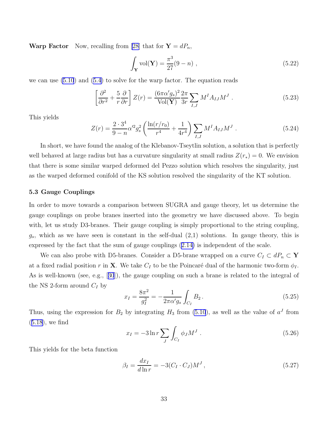<span id="page-34-0"></span>**Warp Factor** Now, recalling from [\[28](#page-42-0)] that for  $Y = dP_n$ ,

$$
\int_{\mathbf{Y}} \text{vol}(\mathbf{Y}) = \frac{\pi^3}{27} (9 - n) ,\qquad (5.22)
$$

we can use  $(5.10)$  $(5.10)$  and  $(5.4)$  $(5.4)$  to solve for the warp factor. The equation reads

$$
\left[\frac{\partial^2}{\partial r^2} + \frac{5}{r} \frac{\partial}{\partial r}\right] Z(r) = \frac{(6\pi \alpha' g_s)^2}{\text{Vol}(\mathbf{Y})} \frac{2\pi}{3r} \sum_{I,J} M^I A_{IJ} M^J.
$$
 (5.23)

This yields

$$
Z(r) = \frac{2 \cdot 3^4}{9 - n} \alpha'^2 g_s^2 \left( \frac{\ln(r/r_0)}{r^4} + \frac{1}{4r^4} \right) \sum_{I,J} M^I A_{IJ} M^J . \tag{5.24}
$$

In short, we have found the analog of the Klebanov-Tseytlin solution, a solution that is perfectly well behaved at large radius but has a curvature singularity at small radius  $Z(r_*) = 0$ . We envision that there is some similar warped deformed del Pezzo solution which resolves the singularity, just as the warped deformed conifold of the KS solution resolved the singularity of the KT solution.

#### 5.3 Gauge Couplings

In order to move towards a comparison between SUGRA and gauge theory, let us determine the gauge couplings on probe branes inserted into the geometry we have discussed above. To begin with, let us study D3-branes. Their gauge coupling is simply proportional to the string coupling,  $g_s$ , which as we have seen is constant in the self-dual  $(2,1)$  solutions. In gauge theory, this is expressed by the fact that the sum of gauge couplings ([2.14\)](#page-11-0) is independent of the scale.

We can also probe with D5-branes. Consider a D5-brane wrapped on a curve  $C_I \subset dP_n \subset Y$ at a fixed radial position r in **X**. We take  $C_I$  to be the Poincaré dual of the harmonic two-form  $\phi_I$ . As is well-known (see, e.g.,[[30](#page-42-0)]), the gauge coupling on such a brane is related to the integral of the NS 2-form around  $C_I$  by

$$
x_I = \frac{8\pi^2}{g_I^2} = -\frac{1}{2\pi\alpha' g_s} \int_{C_I} B_2.
$$
\n(5.25)

Thus, using the expression for  $B_2$  by integrating  $H_3$  from [\(5.10](#page-31-0)), as well as the value of  $a<sup>J</sup>$  from ([5.18](#page-33-0)), we find

$$
x_I = -3 \ln r \sum_{J} \int_{C_I} \phi_J M^J . \qquad (5.26)
$$

This yields for the beta function

$$
\beta_I = \frac{dx_I}{d \ln r} = -3(C_I \cdot C_J)M^J,
$$
\n(5.27)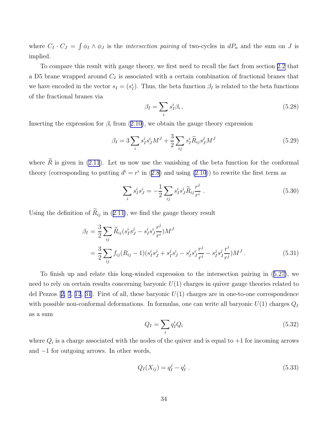<span id="page-35-0"></span>where  $C_I \cdot C_J = \int \phi_I \wedge \phi_J$  is the *intersection pairing* of two-cycles in  $dP_n$  and the sum on J is implied.

To compare this result with gauge theory, we first need to recall the fact from section [2.2](#page-7-0) that a D5 brane wrapped around  $C_I$  is associated with a certain combination of fractional branes that we have encoded in the vector  $s_I = (s_I^i)$ . Thus, the beta function  $\beta_I$  is related to the beta functions of the fractional branes via

$$
\beta_I = \sum_i s_I^i \beta_i \,,\tag{5.28}
$$

Inserting the expression for  $\beta_i$  from ([2.10\)](#page-10-0), we obtain the gauge theory expression

$$
\beta_I = 3 \sum_i s_I^i s_J^i M^J + \frac{3}{2} \sum_{ij} s_I^i \widetilde{R}_{ij} s_J^j M^J \tag{5.29}
$$

where  $\widetilde{R}$  is given in [\(2.11](#page-10-0)). Let us now use the vanishing of the beta function for the conformal theory (corresponding to putting  $d^i = r^i$  in ([2.8\)](#page-10-0) and using [\(2.10](#page-10-0))) to rewrite the first term as

$$
\sum_{i} s_{I}^{i} s_{J}^{i} = -\frac{1}{2} \sum_{ij} s_{I}^{i} s_{J}^{i} \widetilde{R}_{ij} \frac{r^{j}}{r^{i}} . \tag{5.30}
$$

Using the definition of  $\widetilde{R}_{ij}$  in ([2.11\)](#page-10-0), we find the gauge theory result

$$
\beta_I = \frac{3}{2} \sum_{ij} \widetilde{R}_{ij} (s^i_I s^j_J - s^i_I s^i_J \frac{r^j}{r^i}) M^J
$$
  
= 
$$
\frac{3}{2} \sum_{ij} f_{ij} (R_{ij} - 1) (s^i_I s^j_J + s^j_I s^i_J - s^i_I s^i_J \frac{r^j}{r^i} - s^j_I s^j_J \frac{r^i}{r^j}) M^J.
$$
 (5.31)

To finish up and relate this long-winded expression to the intersection pairing in ([5.27\)](#page-34-0), we need to rely on certain results concerning baryonic  $U(1)$  charges in quiver gauge theories related to delPezzos  $[2, 7, 12, 31]$  $[2, 7, 12, 31]$  $[2, 7, 12, 31]$  $[2, 7, 12, 31]$  $[2, 7, 12, 31]$  $[2, 7, 12, 31]$  $[2, 7, 12, 31]$  $[2, 7, 12, 31]$ . First of all, these baryonic  $U(1)$  charges are in one-to-one correspondence with possible non-conformal deformations. In formulas, one can write all baryonic  $U(1)$  charges  $Q_I$ as a sum

$$
Q_I = \sum_i q_I^i Q_i \tag{5.32}
$$

where  $Q_i$  is a charge associated with the nodes of the quiver and is equal to  $+1$  for incoming arrows and −1 for outgoing arrows. In other words,

$$
Q_I(X_{ij}) = q_I^j - q_I^i \t\t(5.33)
$$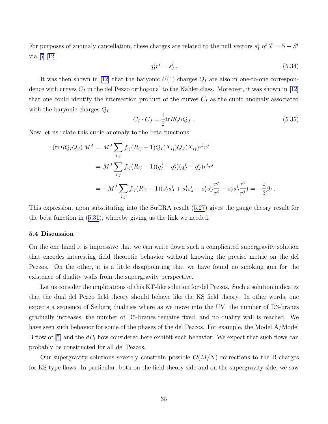<span id="page-36-0"></span>For purposes of anomaly cancellation, these charges are related to the null vectors  $s_I^i$  of  $\mathcal{I} = S - S^t$ via [\[7](#page-41-0), [12](#page-41-0)]

$$
q_I^i r^i = s_I^i. \tag{5.34}
$$

It was then shown in [\[12\]](#page-41-0) that the baryonic  $U(1)$  charges  $Q_I$  are also in one-to-one correspondence with curves  $C_I$  in the del Pezzo orthogonal to the Kähler class. Moreover, it was shown in [\[12\]](#page-41-0) that one could identify the intersection product of the curves  $C_I$  as the cubic anomaly associated with the baryonic charges  $Q_I$ ,

$$
C_I \cdot C_J = \frac{1}{2} \text{tr} R Q_I Q_J . \qquad (5.35)
$$

Now let us relate this cubic anomaly to the beta functions.

$$
(\text{tr} RQ_I Q_J) M^J = M^J \sum_{i,j} f_{ij} (R_{ij} - 1) Q_I (X_{ij}) Q_J (X_{ij}) r^i r^j
$$
  
= 
$$
M^J \sum_{i,j} f_{ij} (R_{ij} - 1) (q_I^j - q_I^i) (q_J^j - q_J^i) r^i r^j
$$
  
= 
$$
-M^J \sum_{i,j} f_{ij} (R_{ij} - 1) (s_I^i s_J^j + s_I^j s_J^i - s_I^i s_J^i \frac{r^j}{r^i} - s_I^j s_J^j \frac{r^i}{r^j}) = -\frac{2}{3} \beta_I.
$$

This expression, upon substituting into the SuGRA result ([5.27\)](#page-34-0) gives the gauge theory result for the beta function in ([5.31](#page-35-0)), whereby giving us the link we needed.

#### 5.4 Discussion

On the one hand it is impressive that we can write down such a complicated supergravity solution that encodes interesting field theoretic behavior without knowing the precise metric on the del Pezzos. On the other, it is a little disappointing that we have found no smoking gun for the existence of duality walls from the supergravity perspective.

Let us consider the implications of this KT-like solution for del Pezzos. Such a solution indicates that the dual del Pezzo field theory should behave like the KS field theory. In other words, one expects a sequence of Seiberg dualities where as we move into the UV, the number of D3-branes gradually increases, the number of D5-branes remains fixed, and no duality wall is reached. We have seen such behavior for some of the phases of the del Pezzos. For example, the Model A/Model Bflow of  $[5]$  $[5]$  and the  $dP_1$  flow considered here exhibit such behavior. We expect that such flows can probably be constructed for all del Pezzos.

Our supergravity solutions severely constrain possible  $\mathcal{O}(M/N)$  corrections to the R-charges for KS type flows. In particular, both on the field theory side and on the supergravity side, we saw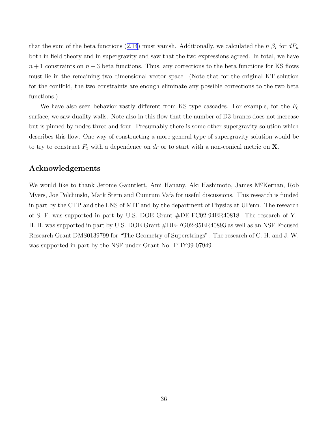that the sum of the beta functions ([2.14](#page-11-0)) must vanish. Additionally, we calculated the  $n \beta_I$  for  $dP_n$ both in field theory and in supergravity and saw that the two expressions agreed. In total, we have  $n+1$  constraints on  $n+3$  beta functions. Thus, any corrections to the beta functions for KS flows must lie in the remaining two dimensional vector space. (Note that for the original KT solution for the conifold, the two constraints are enough eliminate any possible corrections to the two beta functions.)

We have also seen behavior vastly different from KS type cascades. For example, for the  $F_0$ surface, we saw duality walls. Note also in this flow that the number of D3-branes does not increase but is pinned by nodes three and four. Presumably there is some other supergravity solution which describes this flow. One way of constructing a more general type of supergravity solution would be to try to construct  $F_3$  with a dependence on dr or to start with a non-conical metric on **X**.

# Acknowledgements

We would like to thank Jerome Gauntlett, Ami Hanany, Aki Hashimoto, James McKernan, Rob Myers, Joe Polchinski, Mark Stern and Cumrum Vafa for useful discussions. This research is funded in part by the CTP and the LNS of MIT and by the department of Physics at UPenn. The research of S. F. was supported in part by U.S. DOE Grant #DE-FC02-94ER40818. The research of Y.- H. H. was supported in part by U.S. DOE Grant #DE-FG02-95ER40893 as well as an NSF Focused Research Grant DMS0139799 for "The Geometry of Superstrings". The research of C. H. and J. W. was supported in part by the NSF under Grant No. PHY99-07949.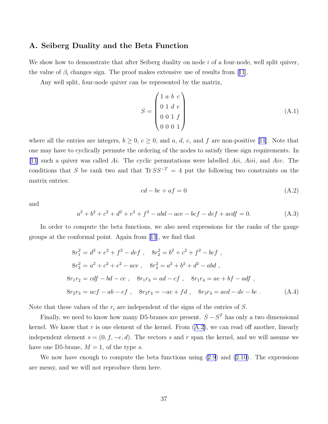#### <span id="page-38-0"></span>A. Seiberg Duality and the Beta Function

We show how to demonstrate that after Seiberg duality on node  $i$  of a four-node, well split quiver, thevalue of  $\beta_i$  changes sign. The proof makes extensive use of results from [[11](#page-41-0)].

Any well split, four-node quiver can be represented by the matrix,

$$
S = \begin{pmatrix} 1 & a & b & c \\ 0 & 1 & d & e \\ 0 & 0 & 1 & f \\ 0 & 0 & 0 & 1 \end{pmatrix}
$$
 (A.1)

where all the entries are integers,  $b \geq 0$ ,  $c \geq 0$ , and a, d, e, and f are non-positive [\[11\]](#page-41-0). Note that one may have to cyclically permute the ordering of the nodes to satisfy these sign requirements. In [\[11](#page-41-0)] such a quiver was called  $Ai$ . The cyclic permutations were labelled  $Aii$ ,  $Aiii$ , and  $Aiv$ . The conditions that S be rank two and that Tr  $SS^{-T} = 4$  put the following two constraints on the matrix entries:

$$
cd - be + af = 0 \tag{A.2}
$$

and

$$
a^2 + b^2 + c^2 + d^2 + e^2 + f^2 - abd - ace - bcf - def + acdf = 0.
$$
 (A.3)

In order to compute the beta functions, we also need expressions for the ranks of the gauge groups at the conformal point. Again from[[11](#page-41-0)], we find that

$$
8r_1^2 = d^2 + e^2 + f^2 - def , \quad 8r_2^2 = b^2 + c^2 + f^2 - bcf ,
$$
  
\n
$$
8r_3^2 = a^2 + c^2 + e^2 - ace , \quad 8r_4^2 = a^2 + b^2 + d^2 - abd ,
$$
  
\n
$$
8r_1r_2 = cdf - bd - ce , \quad 8r_1r_3 = ad - cf , \quad 8r_1r_4 = ae + bf - adf ,
$$
  
\n
$$
8r_2r_3 = acf - ab - ef , \quad 8r_2r_4 = -ac + fd , \quad 8r_3r_4 = acd - de - bc .
$$
 (A.4)

Note that these values of the  $r_i$  are independent of the signs of the entries of S.

Finally, we need to know how many D5-branes are present.  $S - S<sup>T</sup>$  has only a two dimensional kernel. We know that  $r$  is one element of the kernel. From  $(A.2)$ , we can read off another, linearly independent element  $s = (0, f, -e, d)$ . The vectors s and r span the kernel, and we will assume we have one D5-brane,  $M = 1$ , of the type s.

We now have enough to compute the beta functions using ([2.9](#page-10-0)) and [\(2.10](#page-10-0)). The expressions are messy, and we will not reproduce them here.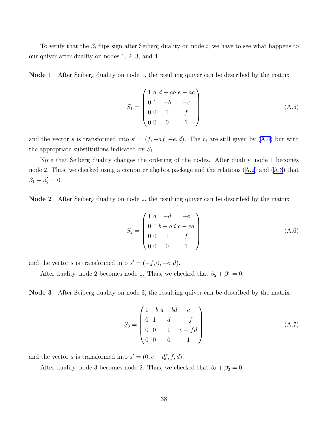To verify that the  $\beta_i$  flips sign after Seiberg duality on node i, we have to see what happens to our quiver after duality on nodes 1, 2, 3, and 4.

Node 1 After Seiberg duality on node 1, the resulting quiver can be described by the matrix

$$
S_1 = \begin{pmatrix} 1 & a & d - ab & e - ac \\ 0 & 1 & -b & -c \\ 0 & 0 & 1 & f \\ 0 & 0 & 0 & 1 \end{pmatrix}
$$
 (A.5)

and the vector s is transformed into  $s' = (f, -af, -e, d)$ . The  $r_i$  are still given by ([A.4\)](#page-38-0) but with the appropriate substitutions indicated by  $S_1$ .

Note that Seiberg duality changes the ordering of the nodes. After duality, node 1 becomes node 2. Thus, we checked using a computer algebra package and the relations ([A.2](#page-38-0)) and ([A.3](#page-38-0)) that  $\beta_1 + \beta_2' = 0.$ 

Node 2 After Seiberg duality on node 2, the resulting quiver can be described by the matrix

$$
S_2 = \begin{pmatrix} 1 & a & -d & -e \\ 0 & 1 & b - ad & c - ea \\ 0 & 0 & 1 & f \\ 0 & 0 & 0 & 1 \end{pmatrix}
$$
 (A.6)

and the vector s is transformed into  $s' = (-f, 0, -e, d)$ .

After duality, node 2 becomes node 1. Thus, we checked that  $\beta_2 + \beta_1' = 0$ .

Node 3 After Seiberg duality on node 3, the resulting quiver can be described by the matrix

$$
S_3 = \begin{pmatrix} 1 - b & a - bd & c \\ 0 & 1 & d & -f \\ 0 & 0 & 1 & e - fd \\ 0 & 0 & 0 & 1 \end{pmatrix}
$$
 (A.7)

and the vector s is transformed into  $s' = (0, e - df, f, d)$ .

After duality, node 3 becomes node 2. Thus, we checked that  $\beta_3 + \beta_2' = 0$ .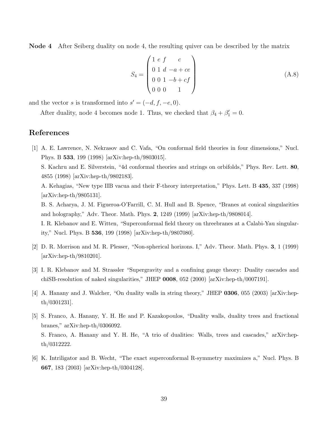<span id="page-40-0"></span>Node 4 After Seiberg duality on node 4, the resulting quiver can be described by the matrix

$$
S_4 = \begin{pmatrix} 1 & e & f & c \\ 0 & 1 & d & -a + ce \\ 0 & 0 & 1 & -b + cf \\ 0 & 0 & 0 & 1 \end{pmatrix}
$$
 (A.8)

and the vector s is transformed into  $s' = (-d, f, -e, 0)$ .

After duality, node 4 becomes node 1. Thus, we checked that  $\beta_4 + \beta_1' = 0$ .

## References

[1] A. E. Lawrence, N. Nekrasov and C. Vafa, "On conformal field theories in four dimensions," Nucl. Phys. B 533, 199 (1998) [arXiv:hep-th/9803015].

S. Kachru and E. Silverstein, "4d conformal theories and strings on orbifolds," Phys. Rev. Lett. 80, 4855 (1998) [arXiv:hep-th/9802183].

A. Kehagias, "New type IIB vacua and their F-theory interpretation," Phys. Lett. B 435, 337 (1998) [arXiv:hep-th/9805131].

B. S. Acharya, J. M. Figueroa-O'Farrill, C. M. Hull and B. Spence, "Branes at conical singularities and holography," Adv. Theor. Math. Phys. 2, 1249 (1999) [arXiv:hep-th/9808014].

I. R. Klebanov and E. Witten, "Superconformal field theory on threebranes at a Calabi-Yau singularity," Nucl. Phys. B 536, 199 (1998) [arXiv:hep-th/9807080].

- [2] D. R. Morrison and M. R. Plesser, "Non-spherical horizons. I," Adv. Theor. Math. Phys. 3, 1 (1999) [arXiv:hep-th/9810201].
- [3] I. R. Klebanov and M. Strassler "Supergravity and a confining gauge theory: Duality cascades and chiSB-resolution of naked singularities," JHEP 0008, 052 (2000) [arXiv:hep-th/0007191].
- [4] A. Hanany and J. Walcher, "On duality walls in string theory," JHEP 0306, 055 (2003) [arXiv:hepth/0301231].
- [5] S. Franco, A. Hanany, Y. H. He and P. Kazakopoulos, "Duality walls, duality trees and fractional branes," arXiv:hep-th/0306092. S. Franco, A. Hanany and Y. H. He, "A trio of dualities: Walls, trees and cascades," arXiv:hepth/0312222.
- [6] K. Intriligator and B. Wecht, "The exact superconformal R-symmetry maximizes a," Nucl. Phys. B 667, 183 (2003) [arXiv:hep-th/0304128].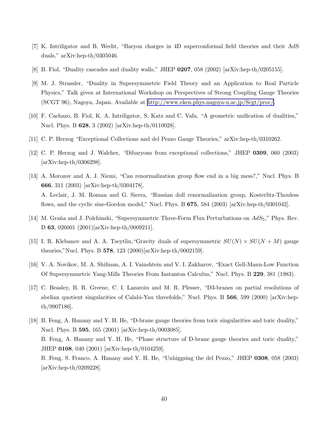- <span id="page-41-0"></span>[7] K. Intriligator and B. Wecht, "Baryon charges in 4D superconformal field theories and their AdS duals," arXiv:hep-th/0305046.
- [8] B. Fiol, "Duality cascades and duality walls," JHEP 0207, 058 (2002) [arXiv:hep-th/0205155].
- [9] M. J. Strassler, "Duality in Supersymmetric Field Theory and an Application to Real Particle Physics," Talk given at International Workshop on Perspectives of Strong Coupling Gauge Theories (SCGT 96), Nagoya, Japan. Available at<http://www.eken.phys.nagoya-u.ac.jp/Scgt/proc/>.
- [10] F. Cachazo, B. Fiol, K. A. Intriligator, S. Katz and C. Vafa, "A geometric unification of dualities," Nucl. Phys. B 628, 3 (2002) [arXiv:hep-th/0110028].
- [11] C. P. Herzog "Exceptional Collections and del Pezzo Gauge Theories," arXiv:hep-th/0310262.
- [12] C. P. Herzog and J. Walcher, "Dibaryons from exceptional collections," JHEP 0309, 060 (2003) [arXiv:hep-th/0306298].
- [13] A. Morozov and A. J. Niemi, "Can renormalization group flow end in a big mess?," Nucl. Phys. B 666, 311 (2003) [arXiv:hep-th/0304178]. A. Leclair, J. M. Roman and G. Sierra, "Russian doll renormalization group, Kosterlitz-Thouless flows, and the cyclic sine-Gordon model," Nucl. Phys. B 675, 584 (2003) [arXiv:hep-th/0301042].
- [14] M. Graña and J. Polchinski, "Supersymmetric Three-Form Flux Perturbations on  $AdS_5$ ," Phys. Rev. D 63, 026001 (2001)[arXiv:hep-th/0009211].
- [15] I. R. Klebanov and A. A. Tseytlin, "Gravity duals of supersymmetric  $SU(N) \times SU(N+M)$  gauge theories,"Nucl. Phys. B 578, 123 (2000)[arXiv:hep-th/0002159].
- [16] V. A. Novikov, M. A. Shifman, A. I. Vainshtein and V. I. Zakharov, "Exact Gell-Mann-Low Function Of Supersymmetric Yang-Mills Theories From Instanton Calculus," Nucl. Phys. B 229, 381 (1983).
- [17] C. Beasley, B. R. Greene, C. I. Lazaroiu and M. R. Plesser, "D3-branes on partial resolutions of abelian quotient singularities of Calabi-Yau threefolds," Nucl. Phys. B 566, 599 (2000) [arXiv:hepth/9907186].
- [18] B. Feng, A. Hanany and Y. H. He, "D-brane gauge theories from toric singularities and toric duality," Nucl. Phys. B 595, 165 (2001) [arXiv:hep-th/0003085]. B. Feng, A. Hanany and Y. H. He, "Phase structure of D-brane gauge theories and toric duality," JHEP 0108, 040 (2001) [arXiv:hep-th/0104259]. B. Feng, S. Franco, A. Hanany and Y. H. He, "Unhiggsing the del Pezzo," JHEP 0308, 058 (2003) [arXiv:hep-th/0209228].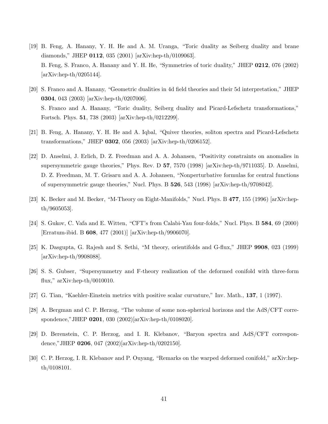- <span id="page-42-0"></span>[19] B. Feng, A. Hanany, Y. H. He and A. M. Uranga, "Toric duality as Seiberg duality and brane diamonds," JHEP 0112, 035 (2001) [arXiv:hep-th/0109063]. B. Feng, S. Franco, A. Hanany and Y. H. He, "Symmetries of toric duality," JHEP 0212, 076 (2002)  $[\arXiv:hep-th/0205144].$
- [20] S. Franco and A. Hanany, "Geometric dualities in 4d field theories and their 5d interpretation," JHEP 0304, 043 (2003) [arXiv:hep-th/0207006]. S. Franco and A. Hanany, "Toric duality, Seiberg duality and Picard-Lefschetz transformations," Fortsch. Phys. 51, 738 (2003) [arXiv:hep-th/0212299].
- [21] B. Feng, A. Hanany, Y. H. He and A. Iqbal, "Quiver theories, soliton spectra and Picard-Lefschetz transformations," JHEP 0302, 056 (2003) [arXiv:hep-th/0206152].
- [22] D. Anselmi, J. Erlich, D. Z. Freedman and A. A. Johansen, "Positivity constraints on anomalies in supersymmetric gauge theories," Phys. Rev. D 57, 7570 (1998) [arXiv:hep-th/9711035]. D. Anselmi, D. Z. Freedman, M. T. Grisaru and A. A. Johansen, "Nonperturbative formulas for central functions of supersymmetric gauge theories," Nucl. Phys. B 526, 543 (1998) [arXiv:hep-th/9708042].
- [23] K. Becker and M. Becker, "M-Theory on Eight-Manifolds," Nucl. Phys. B 477, 155 (1996) [arXiv:hepth/9605053].
- [24] S. Gukov, C. Vafa and E. Witten, "CFT's from Calabi-Yau four-folds," Nucl. Phys. B 584, 69 (2000) [Erratum-ibid. B 608, 477 (2001)] [arXiv:hep-th/9906070].
- [25] K. Dasgupta, G. Rajesh and S. Sethi, "M theory, orientifolds and G-flux," JHEP 9908, 023 (1999) [arXiv:hep-th/9908088].
- [26] S. S. Gubser, "Supersymmetry and F-theory realization of the deformed conifold with three-form flux," arXiv:hep-th/0010010.
- [27] G. Tian, "Kaehler-Einstein metrics with positive scalar curvature," Inv. Math., 137, 1 (1997).
- [28] A. Bergman and C. P. Herzog, "The volume of some non-spherical horizons and the AdS/CFT correspondence,"JHEP 0201, 030 (2002)[arXiv:hep-th/0108020].
- [29] D. Berenstein, C. P. Herzog, and I. R. Klebanov, "Baryon spectra and AdS/CFT correspondence,"JHEP 0206, 047 (2002)[arXiv:hep-th/0202150].
- [30] C. P. Herzog, I. R. Klebanov and P. Ouyang, "Remarks on the warped deformed conifold," arXiv:hepth/0108101.